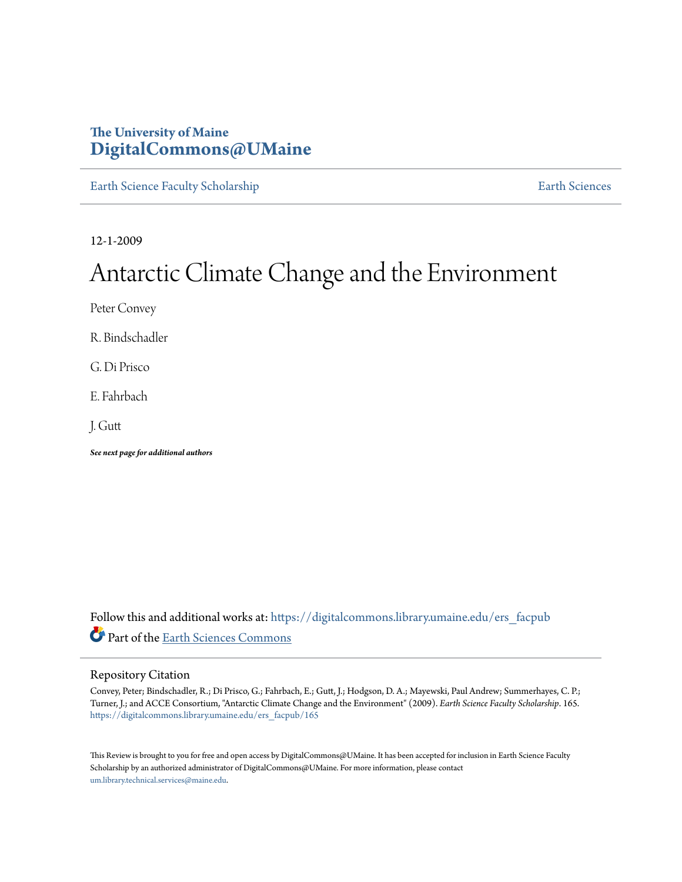# **The University of Maine [DigitalCommons@UMaine](https://digitalcommons.library.umaine.edu?utm_source=digitalcommons.library.umaine.edu%2Fers_facpub%2F165&utm_medium=PDF&utm_campaign=PDFCoverPages)**

[Earth Science Faculty Scholarship](https://digitalcommons.library.umaine.edu/ers_facpub?utm_source=digitalcommons.library.umaine.edu%2Fers_facpub%2F165&utm_medium=PDF&utm_campaign=PDFCoverPages) **[Earth Sciences](https://digitalcommons.library.umaine.edu/ers?utm_source=digitalcommons.library.umaine.edu%2Fers_facpub%2F165&utm_medium=PDF&utm_campaign=PDFCoverPages)** 

12-1-2009

# Antarctic Climate Change and the Environment

Peter Convey

R. Bindschadler

G. Di Prisco

E. Fahrbach

J. Gutt

*See next page for additional authors*

Follow this and additional works at: [https://digitalcommons.library.umaine.edu/ers\\_facpub](https://digitalcommons.library.umaine.edu/ers_facpub?utm_source=digitalcommons.library.umaine.edu%2Fers_facpub%2F165&utm_medium=PDF&utm_campaign=PDFCoverPages) Part of the [Earth Sciences Commons](http://network.bepress.com/hgg/discipline/153?utm_source=digitalcommons.library.umaine.edu%2Fers_facpub%2F165&utm_medium=PDF&utm_campaign=PDFCoverPages)

# Repository Citation

Convey, Peter; Bindschadler, R.; Di Prisco, G.; Fahrbach, E.; Gutt, J.; Hodgson, D. A.; Mayewski, Paul Andrew; Summerhayes, C. P.; Turner, J.; and ACCE Consortium, "Antarctic Climate Change and the Environment" (2009). *Earth Science Faculty Scholarship*. 165. [https://digitalcommons.library.umaine.edu/ers\\_facpub/165](https://digitalcommons.library.umaine.edu/ers_facpub/165?utm_source=digitalcommons.library.umaine.edu%2Fers_facpub%2F165&utm_medium=PDF&utm_campaign=PDFCoverPages)

This Review is brought to you for free and open access by DigitalCommons@UMaine. It has been accepted for inclusion in Earth Science Faculty Scholarship by an authorized administrator of DigitalCommons@UMaine. For more information, please contact [um.library.technical.services@maine.edu](mailto:um.library.technical.services@maine.edu).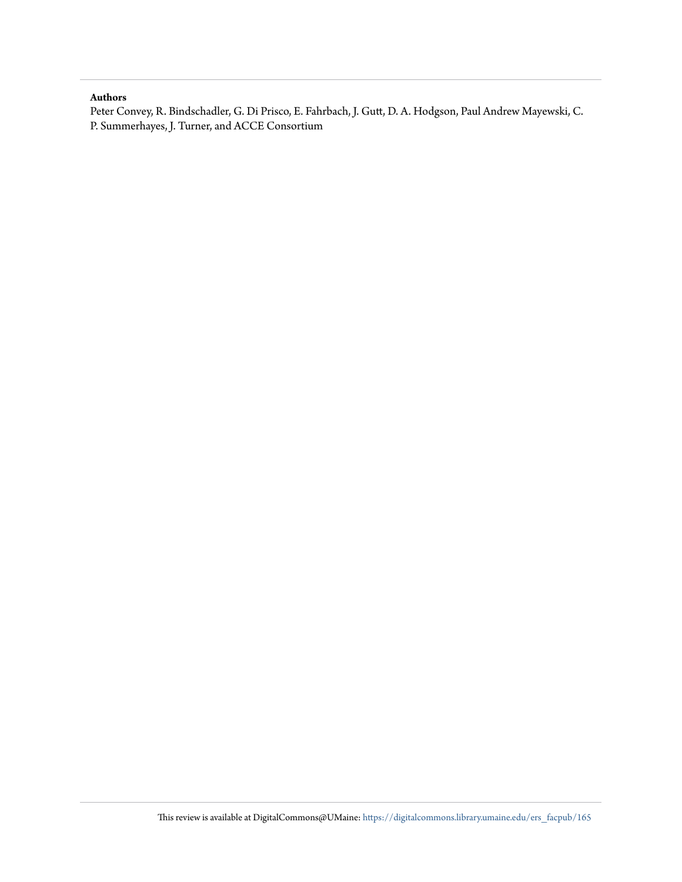# **Authors**

Peter Convey, R. Bindschadler, G. Di Prisco, E. Fahrbach, J. Gutt, D. A. Hodgson, Paul Andrew Mayewski, C. P. Summerhayes, J. Turner, and ACCE Consortium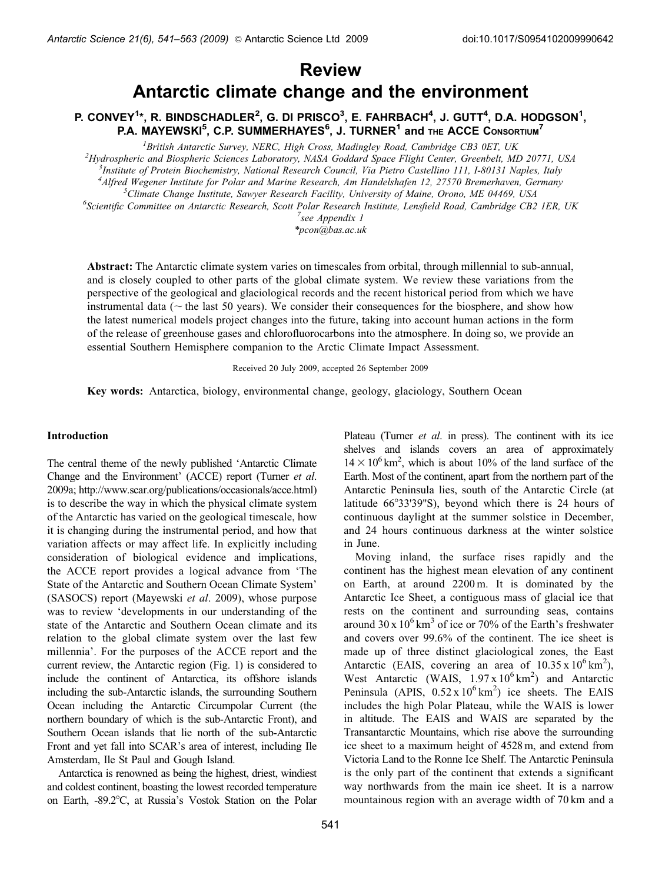# Review

# Antarctic climate change and the environment

P. CONVEY $^{1*}$ , R. BINDSCHADLER $^{2}$ , G. DI PRISCO $^{3}$ , E. FAHRBACH $^{4}$ , J. GUTT $^{4}$ , D.A. HODGSON $^{1}$ , P.A. MAYEWSKI<sup>5</sup>, C.P. SUMMERHAYES<sup>6</sup>, J. TURNER<sup>1</sup> and the ACCE Consortium<sup>7</sup>

<sup>1</sup> *British Antarctic Survey, NERC, High Cross, Madingley Road, Cambridge CB3 0ET, UK*<br><sup>2</sup> Hydrospheric and Biospheric Sciences Laboratory, NASA Goddard Space Flight Center, Greenbelt, M

*Hydrospheric and Biospheric Sciences Laboratory, NASA Goddard Space Flight Center, Greenbelt, MD 20771, USA <sup>3</sup> Institute of Protein Biochemistry, National Research Council, Via Pietro Castellino 111, I-80131 Naples, Italy 4 Alfred Wegener Institute for Polar and Marine Research, Am Handelshafen 12, 27570 Bremerhaven, Germany <sup>5</sup> Climate Change Institute, Sawyer Research Facility, University of Maine, Orono, ME 04469, USA <sup>6</sup> Scientific Committee on Antarctic Research, Scott Polar Research Institute, Lensfield Road, Cambridge CB2 1ER, UK <sup>7</sup> see Appendix 1*

*\*pcon@bas.ac.uk*

**Abstract:** The Antarctic climate system varies on timescales from orbital, through millennial to sub-annual, and is closely coupled to other parts of the global climate system. We review these variations from the perspective of the geological and glaciological records and the recent historical period from which we have instrumental data ( $\sim$  the last 50 years). We consider their consequences for the biosphere, and show how the latest numerical models project changes into the future, taking into account human actions in the form of the release of greenhouse gases and chlorofluorocarbons into the atmosphere. In doing so, we provide an essential Southern Hemisphere companion to the Arctic Climate Impact Assessment.

Received 20 July 2009, accepted 26 September 2009

**Key words:** Antarctica, biology, environmental change, geology, glaciology, Southern Ocean

# **Introduction**

The central theme of the newly published 'Antarctic Climate Change and the Environment' (ACCE) report (Turner *et al*. 2009a; http://www.scar.org/publications/occasionals/acce.html) is to describe the way in which the physical climate system of the Antarctic has varied on the geological timescale, how it is changing during the instrumental period, and how that variation affects or may affect life. In explicitly including consideration of biological evidence and implications, the ACCE report provides a logical advance from 'The State of the Antarctic and Southern Ocean Climate System' (SASOCS) report (Mayewski *et al*. 2009), whose purpose was to review 'developments in our understanding of the state of the Antarctic and Southern Ocean climate and its relation to the global climate system over the last few millennia'. For the purposes of the ACCE report and the current review, the Antarctic region (Fig. 1) is considered to include the continent of Antarctica, its offshore islands including the sub-Antarctic islands, the surrounding Southern Ocean including the Antarctic Circumpolar Current (the northern boundary of which is the sub-Antarctic Front), and Southern Ocean islands that lie north of the sub-Antarctic Front and yet fall into SCAR's area of interest, including Ile Amsterdam, Ile St Paul and Gough Island.

Antarctica is renowned as being the highest, driest, windiest and coldest continent, boasting the lowest recorded temperature on Earth, -89.2°C, at Russia's Vostok Station on the Polar Plateau (Turner *et al*. in press). The continent with its ice shelves and islands covers an area of approximately  $14 \times 10^6$  km<sup>2</sup>, which is about 10% of the land surface of the Earth. Most of the continent, apart from the northern part of the Antarctic Peninsula lies, south of the Antarctic Circle (at latitude  $66^{\circ}33'39''S$ , beyond which there is 24 hours of continuous daylight at the summer solstice in December, and 24 hours continuous darkness at the winter solstice in June.

Moving inland, the surface rises rapidly and the continent has the highest mean elevation of any continent on Earth, at around 2200 m. It is dominated by the Antarctic Ice Sheet, a contiguous mass of glacial ice that rests on the continent and surrounding seas, contains around  $30 \times 10^6$  km<sup>3</sup> of ice or 70% of the Earth's freshwater and covers over 99.6% of the continent. The ice sheet is made up of three distinct glaciological zones, the East Antarctic (EAIS, covering an area of  $10.35 \times 10^6 \text{ km}^2$ ), West Antarctic (WAIS,  $1.97 \times 10^{6}$  km<sup>2</sup>) and Antarctic Peninsula (APIS,  $0.52 \times 10^6 \text{ km}^2$ ) ice sheets. The EAIS includes the high Polar Plateau, while the WAIS is lower in altitude. The EAIS and WAIS are separated by the Transantarctic Mountains, which rise above the surrounding ice sheet to a maximum height of 4528 m, and extend from Victoria Land to the Ronne Ice Shelf. The Antarctic Peninsula is the only part of the continent that extends a significant way northwards from the main ice sheet. It is a narrow mountainous region with an average width of 70 km and a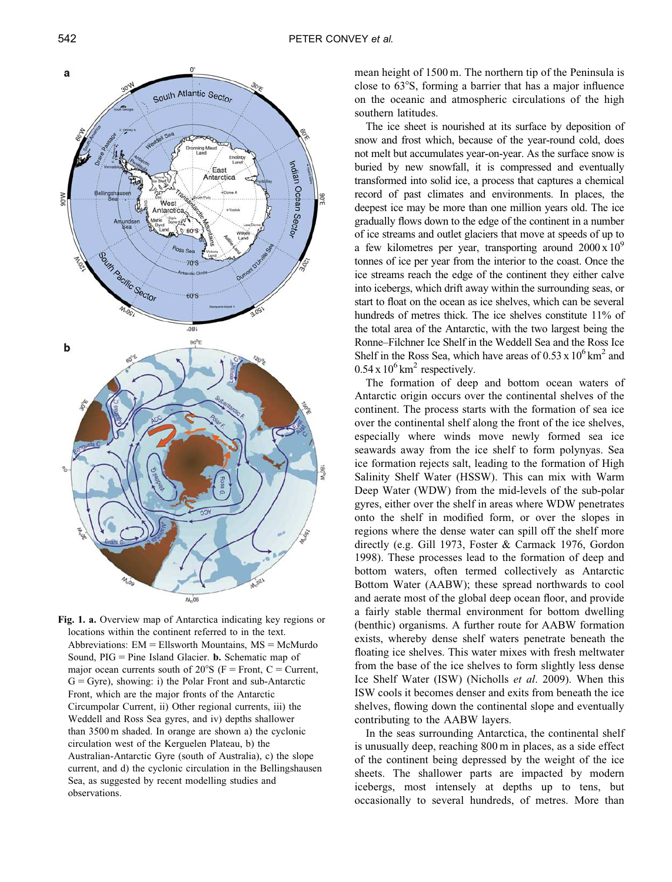

**Fig. 1. a.** Overview map of Antarctica indicating key regions or locations within the continent referred to in the text. Abbreviations:  $EM = Ellsworth$  Mountains,  $MS = McMurdo$ Sound,  $PIG = Pine Island Glacier.$  **b.** Schematic map of major ocean currents south of  $20^{\circ}S$  (F = Front, C = Current,  $G = Gyre$ ), showing: i) the Polar Front and sub-Antarctic Front, which are the major fronts of the Antarctic Circumpolar Current, ii) Other regional currents, iii) the Weddell and Ross Sea gyres, and iv) depths shallower than 3500 m shaded. In orange are shown a) the cyclonic circulation west of the Kerguelen Plateau, b) the Australian-Antarctic Gyre (south of Australia), c) the slope current, and d) the cyclonic circulation in the Bellingshausen Sea, as suggested by recent modelling studies and observations.

mean height of 1500 m. The northern tip of the Peninsula is close to  $63^{\circ}$ S, forming a barrier that has a major influence on the oceanic and atmospheric circulations of the high southern latitudes.

The ice sheet is nourished at its surface by deposition of snow and frost which, because of the year-round cold, does not melt but accumulates year-on-year. As the surface snow is buried by new snowfall, it is compressed and eventually transformed into solid ice, a process that captures a chemical record of past climates and environments. In places, the deepest ice may be more than one million years old. The ice gradually flows down to the edge of the continent in a number of ice streams and outlet glaciers that move at speeds of up to a few kilometres per year, transporting around  $2000 \times 10^9$ tonnes of ice per year from the interior to the coast. Once the ice streams reach the edge of the continent they either calve into icebergs, which drift away within the surrounding seas, or start to float on the ocean as ice shelves, which can be several hundreds of metres thick. The ice shelves constitute 11% of the total area of the Antarctic, with the two largest being the Ronne–Filchner Ice Shelf in the Weddell Sea and the Ross Ice Shelf in the Ross Sea, which have areas of  $0.53 \times 10^6$  km<sup>2</sup> and  $0.54 \times 10^6$  km<sup>2</sup> respectively.

The formation of deep and bottom ocean waters of Antarctic origin occurs over the continental shelves of the continent. The process starts with the formation of sea ice over the continental shelf along the front of the ice shelves, especially where winds move newly formed sea ice seawards away from the ice shelf to form polynyas. Sea ice formation rejects salt, leading to the formation of High Salinity Shelf Water (HSSW). This can mix with Warm Deep Water (WDW) from the mid-levels of the sub-polar gyres, either over the shelf in areas where WDW penetrates onto the shelf in modified form, or over the slopes in regions where the dense water can spill off the shelf more directly (e.g. Gill 1973, Foster & Carmack 1976, Gordon 1998). These processes lead to the formation of deep and bottom waters, often termed collectively as Antarctic Bottom Water (AABW); these spread northwards to cool and aerate most of the global deep ocean floor, and provide a fairly stable thermal environment for bottom dwelling (benthic) organisms. A further route for AABW formation exists, whereby dense shelf waters penetrate beneath the floating ice shelves. This water mixes with fresh meltwater from the base of the ice shelves to form slightly less dense Ice Shelf Water (ISW) (Nicholls *et al*. 2009). When this ISW cools it becomes denser and exits from beneath the ice shelves, flowing down the continental slope and eventually contributing to the AABW layers.

In the seas surrounding Antarctica, the continental shelf is unusually deep, reaching 800 m in places, as a side effect of the continent being depressed by the weight of the ice sheets. The shallower parts are impacted by modern icebergs, most intensely at depths up to tens, but occasionally to several hundreds, of metres. More than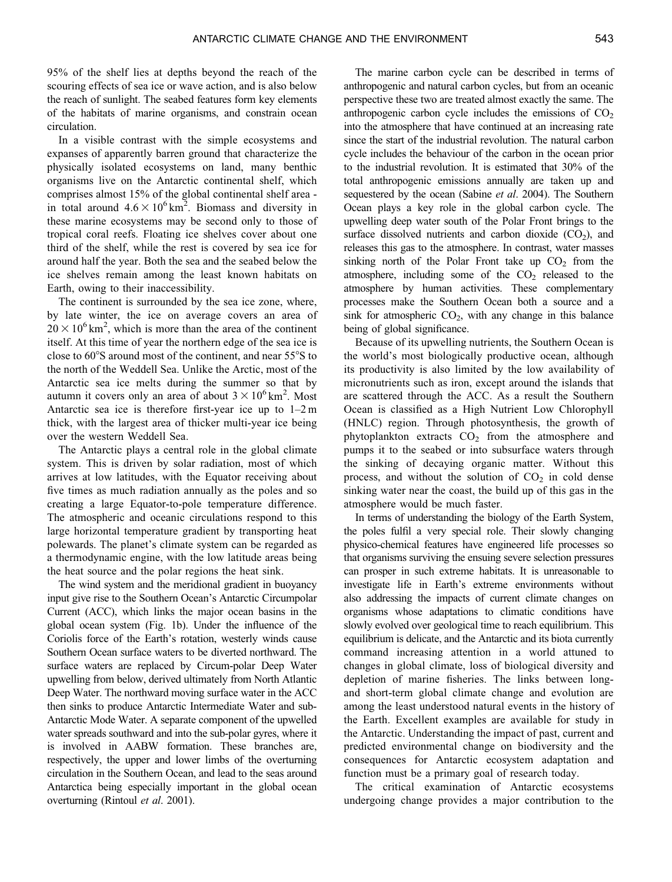95% of the shelf lies at depths beyond the reach of the scouring effects of sea ice or wave action, and is also below the reach of sunlight. The seabed features form key elements of the habitats of marine organisms, and constrain ocean circulation.

In a visible contrast with the simple ecosystems and expanses of apparently barren ground that characterize the physically isolated ecosystems on land, many benthic organisms live on the Antarctic continental shelf, which comprises almost 15% of the global continental shelf area in total around  $4.6 \times 10^6 \text{ km}^2$ . Biomass and diversity in these marine ecosystems may be second only to those of tropical coral reefs. Floating ice shelves cover about one third of the shelf, while the rest is covered by sea ice for around half the year. Both the sea and the seabed below the ice shelves remain among the least known habitats on Earth, owing to their inaccessibility.

The continent is surrounded by the sea ice zone, where, by late winter, the ice on average covers an area of  $20 \times 10^6$  km<sup>2</sup>, which is more than the area of the continent itself. At this time of year the northern edge of the sea ice is close to  $60^{\circ}$ S around most of the continent, and near  $55^{\circ}$ S to the north of the Weddell Sea. Unlike the Arctic, most of the Antarctic sea ice melts during the summer so that by autumn it covers only an area of about  $3 \times 10^6$  km<sup>2</sup>. Most Antarctic sea ice is therefore first-year ice up to 1–2 m thick, with the largest area of thicker multi-year ice being over the western Weddell Sea.

The Antarctic plays a central role in the global climate system. This is driven by solar radiation, most of which arrives at low latitudes, with the Equator receiving about five times as much radiation annually as the poles and so creating a large Equator-to-pole temperature difference. The atmospheric and oceanic circulations respond to this large horizontal temperature gradient by transporting heat polewards. The planet's climate system can be regarded as a thermodynamic engine, with the low latitude areas being the heat source and the polar regions the heat sink.

The wind system and the meridional gradient in buoyancy input give rise to the Southern Ocean's Antarctic Circumpolar Current (ACC), which links the major ocean basins in the global ocean system (Fig. 1b). Under the influence of the Coriolis force of the Earth's rotation, westerly winds cause Southern Ocean surface waters to be diverted northward. The surface waters are replaced by Circum-polar Deep Water upwelling from below, derived ultimately from North Atlantic Deep Water. The northward moving surface water in the ACC then sinks to produce Antarctic Intermediate Water and sub-Antarctic Mode Water. A separate component of the upwelled water spreads southward and into the sub-polar gyres, where it is involved in AABW formation. These branches are, respectively, the upper and lower limbs of the overturning circulation in the Southern Ocean, and lead to the seas around Antarctica being especially important in the global ocean overturning (Rintoul *et al*. 2001).

The marine carbon cycle can be described in terms of anthropogenic and natural carbon cycles, but from an oceanic perspective these two are treated almost exactly the same. The anthropogenic carbon cycle includes the emissions of  $CO<sub>2</sub>$ into the atmosphere that have continued at an increasing rate since the start of the industrial revolution. The natural carbon cycle includes the behaviour of the carbon in the ocean prior to the industrial revolution. It is estimated that 30% of the total anthropogenic emissions annually are taken up and sequestered by the ocean (Sabine *et al*. 2004). The Southern Ocean plays a key role in the global carbon cycle. The upwelling deep water south of the Polar Front brings to the surface dissolved nutrients and carbon dioxide  $(CO<sub>2</sub>)$ , and releases this gas to the atmosphere. In contrast, water masses sinking north of the Polar Front take up  $CO<sub>2</sub>$  from the atmosphere, including some of the  $CO<sub>2</sub>$  released to the atmosphere by human activities. These complementary processes make the Southern Ocean both a source and a sink for atmospheric  $CO<sub>2</sub>$ , with any change in this balance being of global significance.

Because of its upwelling nutrients, the Southern Ocean is the world's most biologically productive ocean, although its productivity is also limited by the low availability of micronutrients such as iron, except around the islands that are scattered through the ACC. As a result the Southern Ocean is classified as a High Nutrient Low Chlorophyll (HNLC) region. Through photosynthesis, the growth of phytoplankton extracts  $CO<sub>2</sub>$  from the atmosphere and pumps it to the seabed or into subsurface waters through the sinking of decaying organic matter. Without this process, and without the solution of  $CO<sub>2</sub>$  in cold dense sinking water near the coast, the build up of this gas in the atmosphere would be much faster.

In terms of understanding the biology of the Earth System, the poles fulfil a very special role. Their slowly changing physico-chemical features have engineered life processes so that organisms surviving the ensuing severe selection pressures can prosper in such extreme habitats. It is unreasonable to investigate life in Earth's extreme environments without also addressing the impacts of current climate changes on organisms whose adaptations to climatic conditions have slowly evolved over geological time to reach equilibrium. This equilibrium is delicate, and the Antarctic and its biota currently command increasing attention in a world attuned to changes in global climate, loss of biological diversity and depletion of marine fisheries. The links between longand short-term global climate change and evolution are among the least understood natural events in the history of the Earth. Excellent examples are available for study in the Antarctic. Understanding the impact of past, current and predicted environmental change on biodiversity and the consequences for Antarctic ecosystem adaptation and function must be a primary goal of research today.

The critical examination of Antarctic ecosystems undergoing change provides a major contribution to the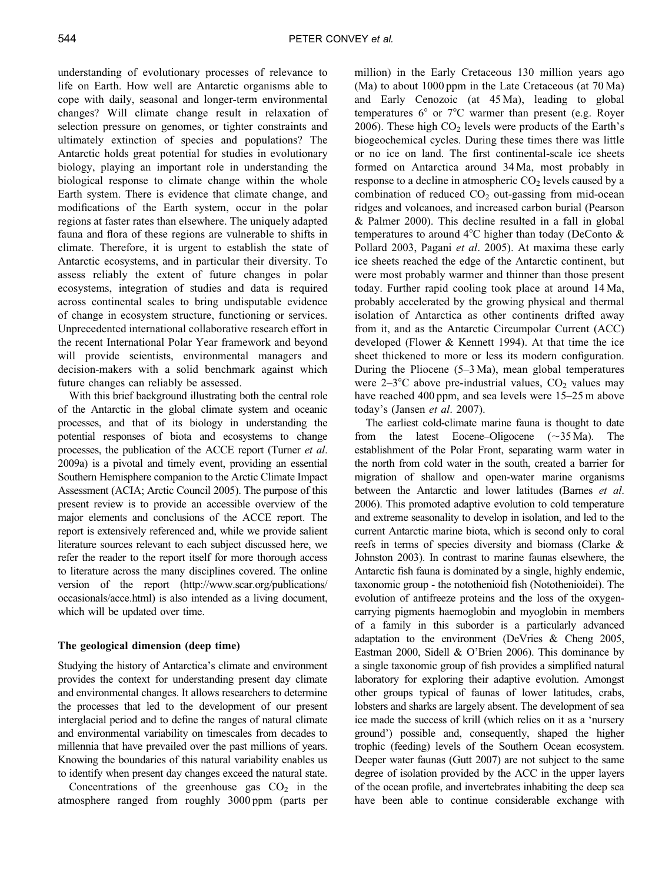understanding of evolutionary processes of relevance to life on Earth. How well are Antarctic organisms able to cope with daily, seasonal and longer-term environmental changes? Will climate change result in relaxation of selection pressure on genomes, or tighter constraints and ultimately extinction of species and populations? The Antarctic holds great potential for studies in evolutionary biology, playing an important role in understanding the biological response to climate change within the whole Earth system. There is evidence that climate change, and modifications of the Earth system, occur in the polar regions at faster rates than elsewhere. The uniquely adapted fauna and flora of these regions are vulnerable to shifts in climate. Therefore, it is urgent to establish the state of Antarctic ecosystems, and in particular their diversity. To assess reliably the extent of future changes in polar ecosystems, integration of studies and data is required across continental scales to bring undisputable evidence of change in ecosystem structure, functioning or services. Unprecedented international collaborative research effort in the recent International Polar Year framework and beyond will provide scientists, environmental managers and decision-makers with a solid benchmark against which future changes can reliably be assessed.

With this brief background illustrating both the central role of the Antarctic in the global climate system and oceanic processes, and that of its biology in understanding the potential responses of biota and ecosystems to change processes, the publication of the ACCE report (Turner *et al*. 2009a) is a pivotal and timely event, providing an essential Southern Hemisphere companion to the Arctic Climate Impact Assessment (ACIA; Arctic Council 2005). The purpose of this present review is to provide an accessible overview of the major elements and conclusions of the ACCE report. The report is extensively referenced and, while we provide salient literature sources relevant to each subject discussed here, we refer the reader to the report itself for more thorough access to literature across the many disciplines covered. The online version of the report (http://www.scar.org/publications/ occasionals/acce.html) is also intended as a living document, which will be updated over time.

# **The geological dimension (deep time)**

Studying the history of Antarctica's climate and environment provides the context for understanding present day climate and environmental changes. It allows researchers to determine the processes that led to the development of our present interglacial period and to define the ranges of natural climate and environmental variability on timescales from decades to millennia that have prevailed over the past millions of years. Knowing the boundaries of this natural variability enables us to identify when present day changes exceed the natural state.

Concentrations of the greenhouse gas  $CO<sub>2</sub>$  in the atmosphere ranged from roughly 3000 ppm (parts per million) in the Early Cretaceous 130 million years ago (Ma) to about 1000 ppm in the Late Cretaceous (at 70 Ma) and Early Cenozoic (at 45 Ma), leading to global temperatures  $6^{\circ}$  or  $7^{\circ}$ C warmer than present (e.g. Royer 2006). These high  $CO<sub>2</sub>$  levels were products of the Earth's biogeochemical cycles. During these times there was little or no ice on land. The first continental-scale ice sheets formed on Antarctica around 34 Ma, most probably in response to a decline in atmospheric  $CO<sub>2</sub>$  levels caused by a combination of reduced  $CO<sub>2</sub>$  out-gassing from mid-ocean ridges and volcanoes, and increased carbon burial (Pearson & Palmer 2000). This decline resulted in a fall in global temperatures to around  $4^{\circ}$ C higher than today (DeConto & Pollard 2003, Pagani *et al*. 2005). At maxima these early ice sheets reached the edge of the Antarctic continent, but were most probably warmer and thinner than those present today. Further rapid cooling took place at around 14 Ma, probably accelerated by the growing physical and thermal isolation of Antarctica as other continents drifted away from it, and as the Antarctic Circumpolar Current (ACC) developed (Flower & Kennett 1994). At that time the ice sheet thickened to more or less its modern configuration. During the Pliocene (5–3 Ma), mean global temperatures were  $2-3$ °C above pre-industrial values,  $CO<sub>2</sub>$  values may have reached 400 ppm, and sea levels were 15–25 m above today's (Jansen *et al*. 2007).

The earliest cold-climate marine fauna is thought to date from the latest Eocene–Oligocene  $(\sim 35$  Ma). The establishment of the Polar Front, separating warm water in the north from cold water in the south, created a barrier for migration of shallow and open-water marine organisms between the Antarctic and lower latitudes (Barnes *et al*. 2006). This promoted adaptive evolution to cold temperature and extreme seasonality to develop in isolation, and led to the current Antarctic marine biota, which is second only to coral reefs in terms of species diversity and biomass (Clarke & Johnston 2003). In contrast to marine faunas elsewhere, the Antarctic fish fauna is dominated by a single, highly endemic, taxonomic group - the notothenioid fish (Notothenioidei). The evolution of antifreeze proteins and the loss of the oxygencarrying pigments haemoglobin and myoglobin in members of a family in this suborder is a particularly advanced adaptation to the environment (DeVries & Cheng 2005, Eastman 2000, Sidell & O'Brien 2006). This dominance by a single taxonomic group of fish provides a simplified natural laboratory for exploring their adaptive evolution. Amongst other groups typical of faunas of lower latitudes, crabs, lobsters and sharks are largely absent. The development of sea ice made the success of krill (which relies on it as a 'nursery ground') possible and, consequently, shaped the higher trophic (feeding) levels of the Southern Ocean ecosystem. Deeper water faunas (Gutt 2007) are not subject to the same degree of isolation provided by the ACC in the upper layers of the ocean profile, and invertebrates inhabiting the deep sea have been able to continue considerable exchange with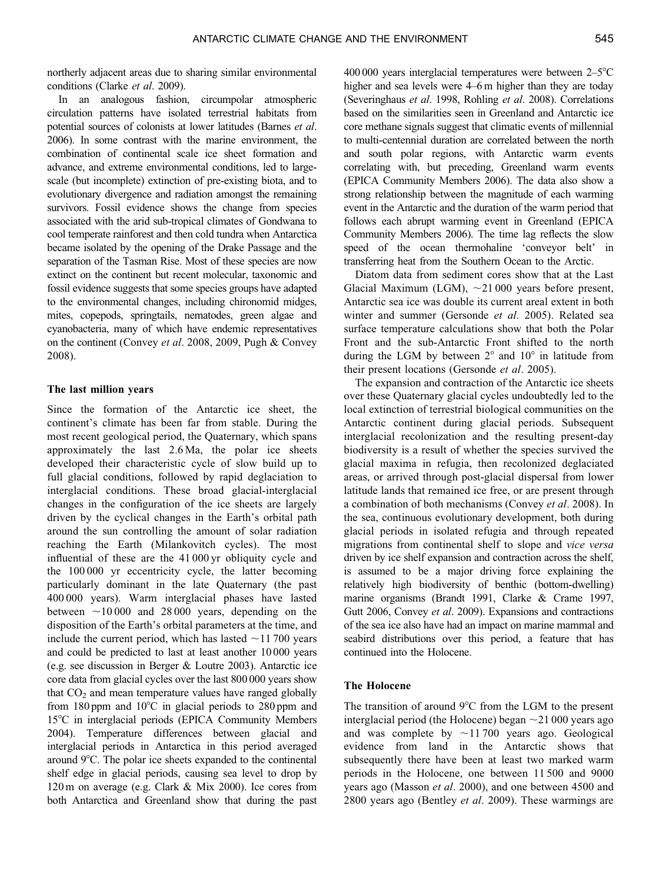northerly adjacent areas due to sharing similar environmental conditions (Clarke *et al*. 2009).

In an analogous fashion, circumpolar atmospheric circulation patterns have isolated terrestrial habitats from potential sources of colonists at lower latitudes (Barnes *et al*. 2006). In some contrast with the marine environment, the combination of continental scale ice sheet formation and advance, and extreme environmental conditions, led to largescale (but incomplete) extinction of pre-existing biota, and to evolutionary divergence and radiation amongst the remaining survivors. Fossil evidence shows the change from species associated with the arid sub-tropical climates of Gondwana to cool temperate rainforest and then cold tundra when Antarctica became isolated by the opening of the Drake Passage and the separation of the Tasman Rise. Most of these species are now extinct on the continent but recent molecular, taxonomic and fossil evidence suggests that some species groups have adapted to the environmental changes, including chironomid midges, mites, copepods, springtails, nematodes, green algae and cyanobacteria, many of which have endemic representatives on the continent (Convey *et al*. 2008, 2009, Pugh & Convey 2008).

# **The last million years**

Since the formation of the Antarctic ice sheet, the continent's climate has been far from stable. During the most recent geological period, the Quaternary, which spans approximately the last 2.6 Ma, the polar ice sheets developed their characteristic cycle of slow build up to full glacial conditions, followed by rapid deglaciation to interglacial conditions. These broad glacial-interglacial changes in the configuration of the ice sheets are largely driven by the cyclical changes in the Earth's orbital path around the sun controlling the amount of solar radiation reaching the Earth (Milankovitch cycles). The most influential of these are the 41 000 yr obliquity cycle and the 100 000 yr eccentricity cycle, the latter becoming particularly dominant in the late Quaternary (the past 400 000 years). Warm interglacial phases have lasted between  $\sim$ 10 000 and 28 000 years, depending on the disposition of the Earth's orbital parameters at the time, and include the current period, which has lasted  $\sim$  11 700 years and could be predicted to last at least another 10 000 years (e.g. see discussion in Berger & Loutre 2003). Antarctic ice core data from glacial cycles over the last 800 000 years show that  $CO<sub>2</sub>$  and mean temperature values have ranged globally from 180 ppm and  $10^{\circ}$ C in glacial periods to 280 ppm and 15<sup>o</sup>C in interglacial periods (EPICA Community Members 2004). Temperature differences between glacial and interglacial periods in Antarctica in this period averaged around  $9^{\circ}$ C. The polar ice sheets expanded to the continental shelf edge in glacial periods, causing sea level to drop by 120 m on average (e.g. Clark & Mix 2000). Ice cores from both Antarctica and Greenland show that during the past 400 000 years interglacial temperatures were between  $2-5^{\circ}C$ higher and sea levels were  $4-6$  m higher than they are today (Severinghaus *et al*. 1998, Rohling *et al*. 2008). Correlations based on the similarities seen in Greenland and Antarctic ice core methane signals suggest that climatic events of millennial to multi-centennial duration are correlated between the north and south polar regions, with Antarctic warm events correlating with, but preceding, Greenland warm events (EPICA Community Members 2006). The data also show a strong relationship between the magnitude of each warming event in the Antarctic and the duration of the warm period that follows each abrupt warming event in Greenland (EPICA Community Members 2006). The time lag reflects the slow speed of the ocean thermohaline 'conveyor belt' in transferring heat from the Southern Ocean to the Arctic.

Diatom data from sediment cores show that at the Last Glacial Maximum (LGM),  $\sim$ 21 000 years before present, Antarctic sea ice was double its current areal extent in both winter and summer (Gersonde *et al*. 2005). Related sea surface temperature calculations show that both the Polar Front and the sub-Antarctic Front shifted to the north during the LGM by between  $2^{\circ}$  and  $10^{\circ}$  in latitude from their present locations (Gersonde *et al*. 2005).

The expansion and contraction of the Antarctic ice sheets over these Quaternary glacial cycles undoubtedly led to the local extinction of terrestrial biological communities on the Antarctic continent during glacial periods. Subsequent interglacial recolonization and the resulting present-day biodiversity is a result of whether the species survived the glacial maxima in refugia, then recolonized deglaciated areas, or arrived through post-glacial dispersal from lower latitude lands that remained ice free, or are present through a combination of both mechanisms (Convey *et al*. 2008). In the sea, continuous evolutionary development, both during glacial periods in isolated refugia and through repeated migrations from continental shelf to slope and *vice versa* driven by ice shelf expansion and contraction across the shelf, is assumed to be a major driving force explaining the relatively high biodiversity of benthic (bottom-dwelling) marine organisms (Brandt 1991, Clarke & Crame 1997, Gutt 2006, Convey *et al*. 2009). Expansions and contractions of the sea ice also have had an impact on marine mammal and seabird distributions over this period, a feature that has continued into the Holocene.

# **The Holocene**

The transition of around  $9^{\circ}$ C from the LGM to the present interglacial period (the Holocene) began  $\sim$  21 000 years ago and was complete by  $\sim$ 11700 years ago. Geological evidence from land in the Antarctic shows that subsequently there have been at least two marked warm periods in the Holocene, one between 11 500 and 9000 years ago (Masson *et al*. 2000), and one between 4500 and 2800 years ago (Bentley *et al*. 2009). These warmings are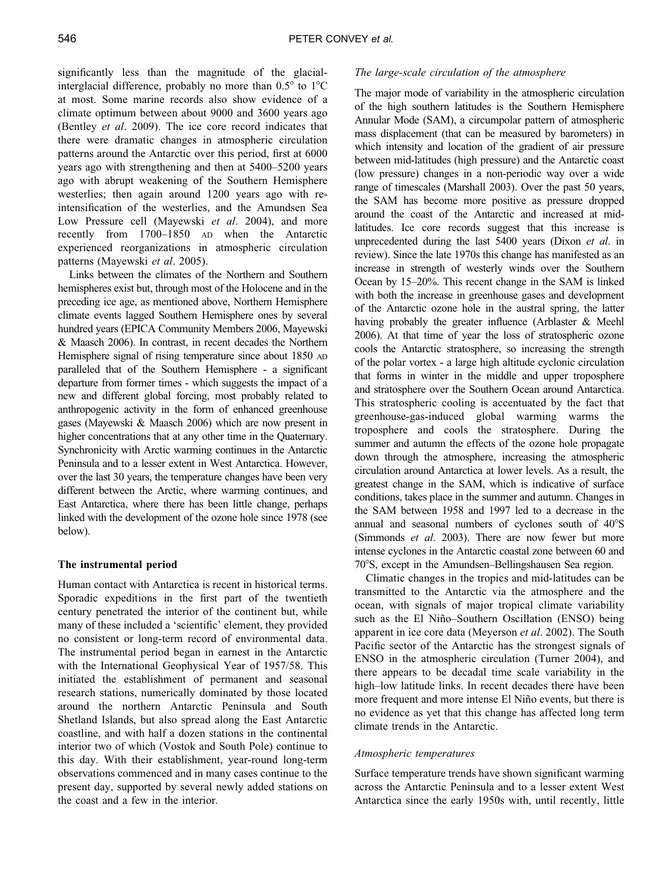significantly less than the magnitude of the glacialinterglacial difference, probably no more than  $0.5^{\circ}$  to  $1^{\circ}$ C at most. Some marine records also show evidence of a climate optimum between about 9000 and 3600 years ago (Bentley *et al*. 2009). The ice core record indicates that there were dramatic changes in atmospheric circulation patterns around the Antarctic over this period, first at 6000 years ago with strengthening and then at 5400–5200 years ago with abrupt weakening of the Southern Hemisphere westerlies; then again around 1200 years ago with reintensification of the westerlies, and the Amundsen Sea Low Pressure cell (Mayewski *et al*. 2004), and more recently from 1700–1850 AD when the Antarctic experienced reorganizations in atmospheric circulation patterns (Mayewski *et al*. 2005).

Links between the climates of the Northern and Southern hemispheres exist but, through most of the Holocene and in the preceding ice age, as mentioned above, Northern Hemisphere climate events lagged Southern Hemisphere ones by several hundred years (EPICA Community Members 2006, Mayewski & Maasch 2006). In contrast, in recent decades the Northern Hemisphere signal of rising temperature since about 1850 AD paralleled that of the Southern Hemisphere - a significant departure from former times - which suggests the impact of a new and different global forcing, most probably related to anthropogenic activity in the form of enhanced greenhouse gases (Mayewski & Maasch 2006) which are now present in higher concentrations that at any other time in the Quaternary. Synchronicity with Arctic warming continues in the Antarctic Peninsula and to a lesser extent in West Antarctica. However, over the last 30 years, the temperature changes have been very different between the Arctic, where warming continues, and East Antarctica, where there has been little change, perhaps linked with the development of the ozone hole since 1978 (see below).

# **The instrumental period**

Human contact with Antarctica is recent in historical terms. Sporadic expeditions in the first part of the twentieth century penetrated the interior of the continent but, while many of these included a 'scientific' element, they provided no consistent or long-term record of environmental data. The instrumental period began in earnest in the Antarctic with the International Geophysical Year of 1957/58. This initiated the establishment of permanent and seasonal research stations, numerically dominated by those located around the northern Antarctic Peninsula and South Shetland Islands, but also spread along the East Antarctic coastline, and with half a dozen stations in the continental interior two of which (Vostok and South Pole) continue to this day. With their establishment, year-round long-term observations commenced and in many cases continue to the present day, supported by several newly added stations on the coast and a few in the interior.

# *The large-scale circulation of the atmosphere*

The major mode of variability in the atmospheric circulation of the high southern latitudes is the Southern Hemisphere Annular Mode (SAM), a circumpolar pattern of atmospheric mass displacement (that can be measured by barometers) in which intensity and location of the gradient of air pressure between mid-latitudes (high pressure) and the Antarctic coast (low pressure) changes in a non-periodic way over a wide range of timescales (Marshall 2003). Over the past 50 years, the SAM has become more positive as pressure dropped around the coast of the Antarctic and increased at midlatitudes. Ice core records suggest that this increase is unprecedented during the last 5400 years (Dixon *et al*. in review). Since the late 1970s this change has manifested as an increase in strength of westerly winds over the Southern Ocean by 15–20%. This recent change in the SAM is linked with both the increase in greenhouse gases and development of the Antarctic ozone hole in the austral spring, the latter having probably the greater influence (Arblaster & Meehl 2006). At that time of year the loss of stratospheric ozone cools the Antarctic stratosphere, so increasing the strength of the polar vortex - a large high altitude cyclonic circulation that forms in winter in the middle and upper troposphere and stratosphere over the Southern Ocean around Antarctica. This stratospheric cooling is accentuated by the fact that greenhouse-gas-induced global warming warms the troposphere and cools the stratosphere. During the summer and autumn the effects of the ozone hole propagate down through the atmosphere, increasing the atmospheric circulation around Antarctica at lower levels. As a result, the greatest change in the SAM, which is indicative of surface conditions, takes place in the summer and autumn. Changes in the SAM between 1958 and 1997 led to a decrease in the annual and seasonal numbers of cyclones south of 40°S (Simmonds *et al*. 2003). There are now fewer but more intense cyclones in the Antarctic coastal zone between 60 and 708S, except in the Amundsen–Bellingshausen Sea region.

Climatic changes in the tropics and mid-latitudes can be transmitted to the Antarctic via the atmosphere and the ocean, with signals of major tropical climate variability such as the El Niño–Southern Oscillation (ENSO) being apparent in ice core data (Meyerson *et al*. 2002). The South Pacific sector of the Antarctic has the strongest signals of ENSO in the atmospheric circulation (Turner 2004), and there appears to be decadal time scale variability in the high–low latitude links. In recent decades there have been more frequent and more intense El Niño events, but there is no evidence as yet that this change has affected long term climate trends in the Antarctic.

# *Atmospheric temperatures*

Surface temperature trends have shown significant warming across the Antarctic Peninsula and to a lesser extent West Antarctica since the early 1950s with, until recently, little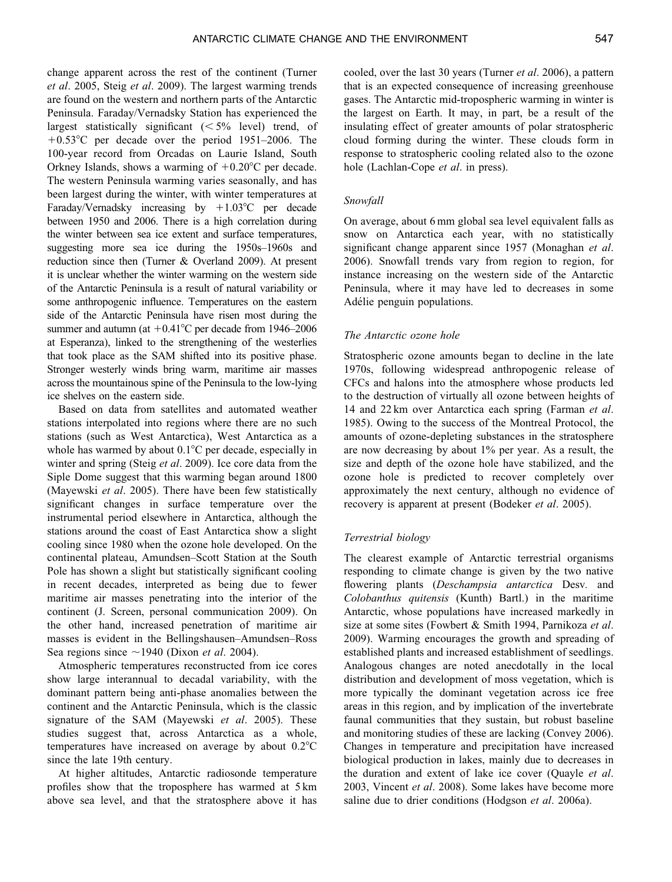change apparent across the rest of the continent (Turner *et al*. 2005, Steig *et al*. 2009). The largest warming trends are found on the western and northern parts of the Antarctic Peninsula. Faraday/Vernadsky Station has experienced the largest statistically significant  $(< 5\%$  level) trend, of  $+0.53^{\circ}$ C per decade over the period 1951–2006. The 100-year record from Orcadas on Laurie Island, South Orkney Islands, shows a warming of  $+0.20^{\circ}$ C per decade. The western Peninsula warming varies seasonally, and has been largest during the winter, with winter temperatures at Faraday/Vernadsky increasing by  $+1.03^{\circ}$ C per decade between 1950 and 2006. There is a high correlation during the winter between sea ice extent and surface temperatures, suggesting more sea ice during the 1950s–1960s and reduction since then (Turner & Overland 2009). At present it is unclear whether the winter warming on the western side of the Antarctic Peninsula is a result of natural variability or some anthropogenic influence. Temperatures on the eastern side of the Antarctic Peninsula have risen most during the summer and autumn (at  $+0.41^{\circ}$ C per decade from 1946–2006 at Esperanza), linked to the strengthening of the westerlies that took place as the SAM shifted into its positive phase. Stronger westerly winds bring warm, maritime air masses across the mountainous spine of the Peninsula to the low-lying ice shelves on the eastern side.

Based on data from satellites and automated weather stations interpolated into regions where there are no such stations (such as West Antarctica), West Antarctica as a whole has warmed by about  $0.1^{\circ}$ C per decade, especially in winter and spring (Steig *et al*. 2009). Ice core data from the Siple Dome suggest that this warming began around 1800 (Mayewski *et al*. 2005). There have been few statistically significant changes in surface temperature over the instrumental period elsewhere in Antarctica, although the stations around the coast of East Antarctica show a slight cooling since 1980 when the ozone hole developed. On the continental plateau, Amundsen–Scott Station at the South Pole has shown a slight but statistically significant cooling in recent decades, interpreted as being due to fewer maritime air masses penetrating into the interior of the continent (J. Screen, personal communication 2009). On the other hand, increased penetration of maritime air masses is evident in the Bellingshausen–Amundsen–Ross Sea regions since  $\sim$ 1940 (Dixon *et al.* 2004).

Atmospheric temperatures reconstructed from ice cores show large interannual to decadal variability, with the dominant pattern being anti-phase anomalies between the continent and the Antarctic Peninsula, which is the classic signature of the SAM (Mayewski *et al*. 2005). These studies suggest that, across Antarctica as a whole, temperatures have increased on average by about  $0.2^{\circ}$ C since the late 19th century.

At higher altitudes, Antarctic radiosonde temperature profiles show that the troposphere has warmed at 5 km above sea level, and that the stratosphere above it has cooled, over the last 30 years (Turner *et al*. 2006), a pattern that is an expected consequence of increasing greenhouse gases. The Antarctic mid-tropospheric warming in winter is the largest on Earth. It may, in part, be a result of the insulating effect of greater amounts of polar stratospheric cloud forming during the winter. These clouds form in response to stratospheric cooling related also to the ozone hole (Lachlan-Cope *et al*. in press).

# *Snowfall*

On average, about 6 mm global sea level equivalent falls as snow on Antarctica each year, with no statistically significant change apparent since 1957 (Monaghan *et al*. 2006). Snowfall trends vary from region to region, for instance increasing on the western side of the Antarctic Peninsula, where it may have led to decreases in some Adélie penguin populations.

#### *The Antarctic ozone hole*

Stratospheric ozone amounts began to decline in the late 1970s, following widespread anthropogenic release of CFCs and halons into the atmosphere whose products led to the destruction of virtually all ozone between heights of 14 and 22 km over Antarctica each spring (Farman *et al*. 1985). Owing to the success of the Montreal Protocol, the amounts of ozone-depleting substances in the stratosphere are now decreasing by about 1% per year. As a result, the size and depth of the ozone hole have stabilized, and the ozone hole is predicted to recover completely over approximately the next century, although no evidence of recovery is apparent at present (Bodeker *et al*. 2005).

# *Terrestrial biology*

The clearest example of Antarctic terrestrial organisms responding to climate change is given by the two native flowering plants (*Deschampsia antarctica* Desv*.* and *Colobanthus quitensis* (Kunth) Bartl.) in the maritime Antarctic, whose populations have increased markedly in size at some sites (Fowbert & Smith 1994, Parnikoza *et al*. 2009). Warming encourages the growth and spreading of established plants and increased establishment of seedlings. Analogous changes are noted anecdotally in the local distribution and development of moss vegetation, which is more typically the dominant vegetation across ice free areas in this region, and by implication of the invertebrate faunal communities that they sustain, but robust baseline and monitoring studies of these are lacking (Convey 2006). Changes in temperature and precipitation have increased biological production in lakes, mainly due to decreases in the duration and extent of lake ice cover (Quayle *et al*. 2003, Vincent *et al*. 2008). Some lakes have become more saline due to drier conditions (Hodgson *et al*. 2006a).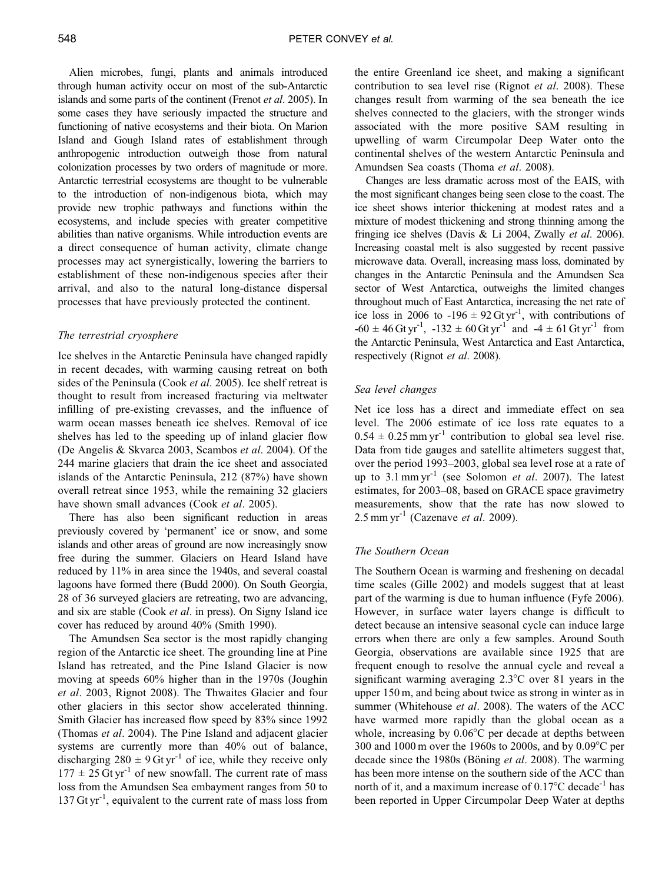Alien microbes, fungi, plants and animals introduced through human activity occur on most of the sub-Antarctic islands and some parts of the continent (Frenot *et al*. 2005). In some cases they have seriously impacted the structure and functioning of native ecosystems and their biota. On Marion Island and Gough Island rates of establishment through anthropogenic introduction outweigh those from natural colonization processes by two orders of magnitude or more. Antarctic terrestrial ecosystems are thought to be vulnerable to the introduction of non-indigenous biota, which may provide new trophic pathways and functions within the ecosystems, and include species with greater competitive abilities than native organisms. While introduction events are a direct consequence of human activity, climate change processes may act synergistically, lowering the barriers to establishment of these non-indigenous species after their arrival, and also to the natural long-distance dispersal processes that have previously protected the continent.

# *The terrestrial cryosphere*

Ice shelves in the Antarctic Peninsula have changed rapidly in recent decades, with warming causing retreat on both sides of the Peninsula (Cook *et al*. 2005). Ice shelf retreat is thought to result from increased fracturing via meltwater infilling of pre-existing crevasses, and the influence of warm ocean masses beneath ice shelves. Removal of ice shelves has led to the speeding up of inland glacier flow (De Angelis & Skvarca 2003, Scambos *et al*. 2004). Of the 244 marine glaciers that drain the ice sheet and associated islands of the Antarctic Peninsula, 212 (87%) have shown overall retreat since 1953, while the remaining 32 glaciers have shown small advances (Cook *et al*. 2005).

There has also been significant reduction in areas previously covered by 'permanent' ice or snow, and some islands and other areas of ground are now increasingly snow free during the summer. Glaciers on Heard Island have reduced by 11% in area since the 1940s, and several coastal lagoons have formed there (Budd 2000). On South Georgia, 28 of 36 surveyed glaciers are retreating, two are advancing, and six are stable (Cook *et al*. in press). On Signy Island ice cover has reduced by around 40% (Smith 1990).

The Amundsen Sea sector is the most rapidly changing region of the Antarctic ice sheet. The grounding line at Pine Island has retreated, and the Pine Island Glacier is now moving at speeds 60% higher than in the 1970s (Joughin *et al*. 2003, Rignot 2008). The Thwaites Glacier and four other glaciers in this sector show accelerated thinning. Smith Glacier has increased flow speed by 83% since 1992 (Thomas *et al*. 2004). The Pine Island and adjacent glacier systems are currently more than 40% out of balance, discharging  $280 \pm 9$  Gt yr<sup>-1</sup> of ice, while they receive only  $177 \pm 25$  Gt yr<sup>-1</sup> of new snowfall. The current rate of mass loss from the Amundsen Sea embayment ranges from 50 to  $137 \,\text{Gt yr}^{-1}$ , equivalent to the current rate of mass loss from the entire Greenland ice sheet, and making a significant contribution to sea level rise (Rignot *et al*. 2008). These changes result from warming of the sea beneath the ice shelves connected to the glaciers, with the stronger winds associated with the more positive SAM resulting in upwelling of warm Circumpolar Deep Water onto the continental shelves of the western Antarctic Peninsula and Amundsen Sea coasts (Thoma *et al*. 2008).

Changes are less dramatic across most of the EAIS, with the most significant changes being seen close to the coast. The ice sheet shows interior thickening at modest rates and a mixture of modest thickening and strong thinning among the fringing ice shelves (Davis & Li 2004, Zwally *et al*. 2006). Increasing coastal melt is also suggested by recent passive microwave data. Overall, increasing mass loss, dominated by changes in the Antarctic Peninsula and the Amundsen Sea sector of West Antarctica, outweighs the limited changes throughout much of East Antarctica, increasing the net rate of ice loss in 2006 to -196  $\pm$  92 Gt yr<sup>-1</sup>, with contributions of  $-60 \pm 46$  Gt yr<sup>-1</sup>,  $-132 \pm 60$  Gt yr<sup>-1</sup> and  $-4 \pm 61$  Gt yr<sup>-1</sup> from the Antarctic Peninsula, West Antarctica and East Antarctica, respectively (Rignot *et al*. 2008).

# *Sea level changes*

Net ice loss has a direct and immediate effect on sea level. The 2006 estimate of ice loss rate equates to a  $0.54 \pm 0.25$  mm yr<sup>-1</sup> contribution to global sea level rise. Data from tide gauges and satellite altimeters suggest that, over the period 1993–2003, global sea level rose at a rate of up to 3.1 mm yr-1 (see Solomon *et al*. 2007). The latest estimates, for 2003–08, based on GRACE space gravimetry measurements, show that the rate has now slowed to 2.5 mm yr-1 (Cazenave *et al*. 2009).

#### *The Southern Ocean*

The Southern Ocean is warming and freshening on decadal time scales (Gille 2002) and models suggest that at least part of the warming is due to human influence (Fyfe 2006). However, in surface water layers change is difficult to detect because an intensive seasonal cycle can induce large errors when there are only a few samples. Around South Georgia, observations are available since 1925 that are frequent enough to resolve the annual cycle and reveal a significant warming averaging  $2.3^{\circ}$ C over 81 years in the upper 150 m, and being about twice as strong in winter as in summer (Whitehouse *et al*. 2008). The waters of the ACC have warmed more rapidly than the global ocean as a whole, increasing by  $0.06^{\circ}$ C per decade at depths between 300 and 1000 m over the 1960s to 2000s, and by  $0.09^{\circ}$ C per decade since the 1980s (Böning *et al.* 2008). The warming has been more intense on the southern side of the ACC than north of it, and a maximum increase of  $0.17^{\circ}$ C decade<sup>-1</sup> has been reported in Upper Circumpolar Deep Water at depths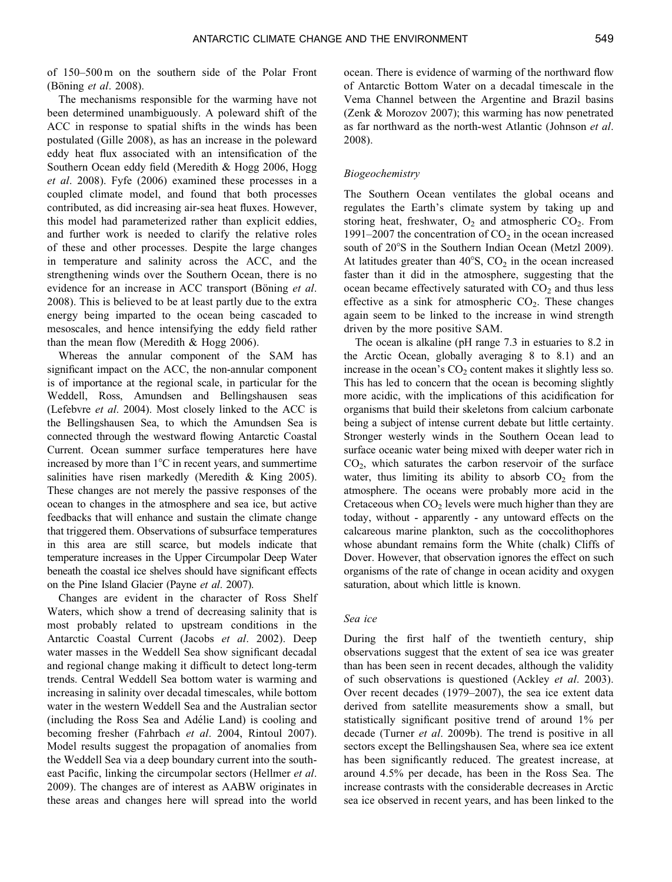of 150–500 m on the southern side of the Polar Front (Bo¨ning *et al*. 2008).

The mechanisms responsible for the warming have not been determined unambiguously. A poleward shift of the ACC in response to spatial shifts in the winds has been postulated (Gille 2008), as has an increase in the poleward eddy heat flux associated with an intensification of the Southern Ocean eddy field (Meredith & Hogg 2006, Hogg *et al*. 2008). Fyfe (2006) examined these processes in a coupled climate model, and found that both processes contributed, as did increasing air-sea heat fluxes. However, this model had parameterized rather than explicit eddies, and further work is needed to clarify the relative roles of these and other processes. Despite the large changes in temperature and salinity across the ACC, and the strengthening winds over the Southern Ocean, there is no evidence for an increase in ACC transport (Böning et al. 2008). This is believed to be at least partly due to the extra energy being imparted to the ocean being cascaded to mesoscales, and hence intensifying the eddy field rather than the mean flow (Meredith & Hogg 2006).

Whereas the annular component of the SAM has significant impact on the ACC, the non-annular component is of importance at the regional scale, in particular for the Weddell, Ross, Amundsen and Bellingshausen seas (Lefebvre *et al*. 2004). Most closely linked to the ACC is the Bellingshausen Sea, to which the Amundsen Sea is connected through the westward flowing Antarctic Coastal Current. Ocean summer surface temperatures here have increased by more than  $1^{\circ}$ C in recent years, and summertime salinities have risen markedly (Meredith & King 2005). These changes are not merely the passive responses of the ocean to changes in the atmosphere and sea ice, but active feedbacks that will enhance and sustain the climate change that triggered them. Observations of subsurface temperatures in this area are still scarce, but models indicate that temperature increases in the Upper Circumpolar Deep Water beneath the coastal ice shelves should have significant effects on the Pine Island Glacier (Payne *et al*. 2007).

Changes are evident in the character of Ross Shelf Waters, which show a trend of decreasing salinity that is most probably related to upstream conditions in the Antarctic Coastal Current (Jacobs *et al*. 2002). Deep water masses in the Weddell Sea show significant decadal and regional change making it difficult to detect long-term trends. Central Weddell Sea bottom water is warming and increasing in salinity over decadal timescales, while bottom water in the western Weddell Sea and the Australian sector (including the Ross Sea and Adélie Land) is cooling and becoming fresher (Fahrbach *et al*. 2004, Rintoul 2007). Model results suggest the propagation of anomalies from the Weddell Sea via a deep boundary current into the southeast Pacific, linking the circumpolar sectors (Hellmer *et al*. 2009). The changes are of interest as AABW originates in these areas and changes here will spread into the world ocean. There is evidence of warming of the northward flow of Antarctic Bottom Water on a decadal timescale in the Vema Channel between the Argentine and Brazil basins (Zenk & Morozov 2007); this warming has now penetrated as far northward as the north-west Atlantic (Johnson *et al*. 2008).

# *Biogeochemistry*

The Southern Ocean ventilates the global oceans and regulates the Earth's climate system by taking up and storing heat, freshwater,  $O_2$  and atmospheric  $CO_2$ . From 1991–2007 the concentration of  $CO<sub>2</sub>$  in the ocean increased south of 20°S in the Southern Indian Ocean (Metzl 2009). At latitudes greater than  $40^{\circ}$ S,  $CO<sub>2</sub>$  in the ocean increased faster than it did in the atmosphere, suggesting that the ocean became effectively saturated with  $CO<sub>2</sub>$  and thus less effective as a sink for atmospheric  $CO<sub>2</sub>$ . These changes again seem to be linked to the increase in wind strength driven by the more positive SAM.

The ocean is alkaline (pH range 7.3 in estuaries to 8.2 in the Arctic Ocean, globally averaging 8 to 8.1) and an increase in the ocean's  $CO<sub>2</sub>$  content makes it slightly less so. This has led to concern that the ocean is becoming slightly more acidic, with the implications of this acidification for organisms that build their skeletons from calcium carbonate being a subject of intense current debate but little certainty. Stronger westerly winds in the Southern Ocean lead to surface oceanic water being mixed with deeper water rich in  $CO<sub>2</sub>$ , which saturates the carbon reservoir of the surface water, thus limiting its ability to absorb  $CO<sub>2</sub>$  from the atmosphere. The oceans were probably more acid in the Cretaceous when  $CO<sub>2</sub>$  levels were much higher than they are today, without - apparently - any untoward effects on the calcareous marine plankton, such as the coccolithophores whose abundant remains form the White (chalk) Cliffs of Dover. However, that observation ignores the effect on such organisms of the rate of change in ocean acidity and oxygen saturation, about which little is known.

# *Sea ice*

During the first half of the twentieth century, ship observations suggest that the extent of sea ice was greater than has been seen in recent decades, although the validity of such observations is questioned (Ackley *et al*. 2003). Over recent decades (1979–2007), the sea ice extent data derived from satellite measurements show a small, but statistically significant positive trend of around 1% per decade (Turner *et al*. 2009b). The trend is positive in all sectors except the Bellingshausen Sea, where sea ice extent has been significantly reduced. The greatest increase, at around 4.5% per decade, has been in the Ross Sea. The increase contrasts with the considerable decreases in Arctic sea ice observed in recent years, and has been linked to the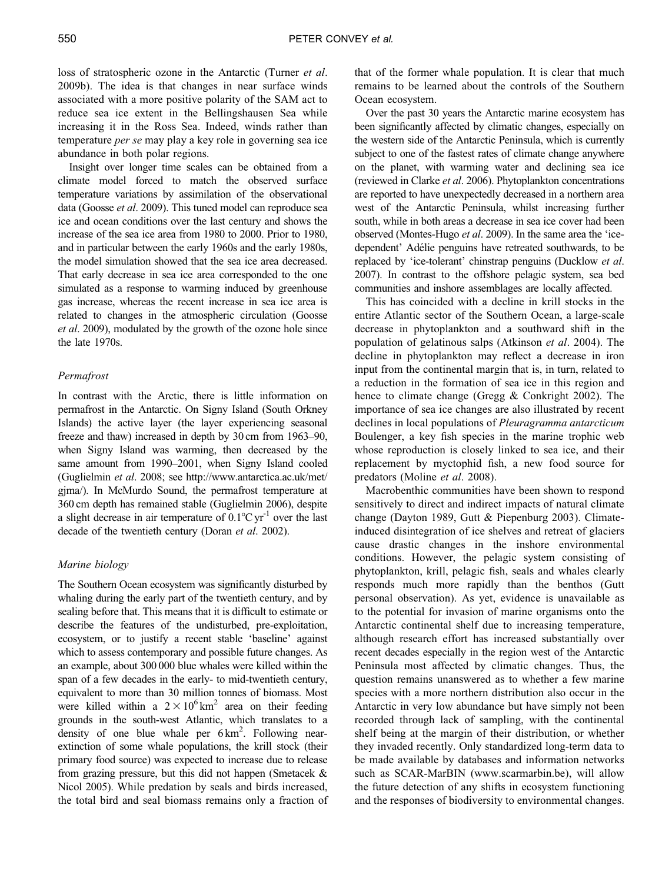loss of stratospheric ozone in the Antarctic (Turner *et al*. 2009b). The idea is that changes in near surface winds associated with a more positive polarity of the SAM act to reduce sea ice extent in the Bellingshausen Sea while increasing it in the Ross Sea. Indeed, winds rather than temperature *per se* may play a key role in governing sea ice abundance in both polar regions.

Insight over longer time scales can be obtained from a climate model forced to match the observed surface temperature variations by assimilation of the observational data (Goosse *et al*. 2009). This tuned model can reproduce sea ice and ocean conditions over the last century and shows the increase of the sea ice area from 1980 to 2000. Prior to 1980, and in particular between the early 1960s and the early 1980s, the model simulation showed that the sea ice area decreased. That early decrease in sea ice area corresponded to the one simulated as a response to warming induced by greenhouse gas increase, whereas the recent increase in sea ice area is related to changes in the atmospheric circulation (Goosse *et al*. 2009), modulated by the growth of the ozone hole since the late 1970s.

#### *Permafrost*

In contrast with the Arctic, there is little information on permafrost in the Antarctic. On Signy Island (South Orkney Islands) the active layer (the layer experiencing seasonal freeze and thaw) increased in depth by 30 cm from 1963–90, when Signy Island was warming, then decreased by the same amount from 1990–2001, when Signy Island cooled (Guglielmin *et al*. 2008; see http://www.antarctica.ac.uk/met/ gjma/). In McMurdo Sound, the permafrost temperature at 360 cm depth has remained stable (Guglielmin 2006), despite a slight decrease in air temperature of  $0.1^{\circ}$ C yr<sup>-1</sup> over the last decade of the twentieth century (Doran *et al*. 2002).

# *Marine biology*

The Southern Ocean ecosystem was significantly disturbed by whaling during the early part of the twentieth century, and by sealing before that. This means that it is difficult to estimate or describe the features of the undisturbed, pre-exploitation, ecosystem, or to justify a recent stable 'baseline' against which to assess contemporary and possible future changes. As an example, about 300 000 blue whales were killed within the span of a few decades in the early- to mid-twentieth century, equivalent to more than 30 million tonnes of biomass. Most were killed within a  $2 \times 10^6$  km<sup>2</sup> area on their feeding grounds in the south-west Atlantic, which translates to a density of one blue whale per 6 km<sup>2</sup>. Following nearextinction of some whale populations, the krill stock (their primary food source) was expected to increase due to release from grazing pressure, but this did not happen (Smetacek & Nicol 2005). While predation by seals and birds increased, the total bird and seal biomass remains only a fraction of that of the former whale population. It is clear that much remains to be learned about the controls of the Southern Ocean ecosystem.

Over the past 30 years the Antarctic marine ecosystem has been significantly affected by climatic changes, especially on the western side of the Antarctic Peninsula, which is currently subject to one of the fastest rates of climate change anywhere on the planet, with warming water and declining sea ice (reviewed in Clarke *et al*. 2006). Phytoplankton concentrations are reported to have unexpectedly decreased in a northern area west of the Antarctic Peninsula, whilst increasing further south, while in both areas a decrease in sea ice cover had been observed (Montes-Hugo *et al*. 2009). In the same area the 'icedependent' Adélie penguins have retreated southwards, to be replaced by 'ice-tolerant' chinstrap penguins (Ducklow *et al*. 2007). In contrast to the offshore pelagic system, sea bed communities and inshore assemblages are locally affected.

This has coincided with a decline in krill stocks in the entire Atlantic sector of the Southern Ocean, a large-scale decrease in phytoplankton and a southward shift in the population of gelatinous salps (Atkinson *et al*. 2004). The decline in phytoplankton may reflect a decrease in iron input from the continental margin that is, in turn, related to a reduction in the formation of sea ice in this region and hence to climate change (Gregg & Conkright 2002). The importance of sea ice changes are also illustrated by recent declines in local populations of *Pleuragramma antarcticum* Boulenger, a key fish species in the marine trophic web whose reproduction is closely linked to sea ice, and their replacement by myctophid fish, a new food source for predators (Moline *et al*. 2008).

Macrobenthic communities have been shown to respond sensitively to direct and indirect impacts of natural climate change (Dayton 1989, Gutt & Piepenburg 2003). Climateinduced disintegration of ice shelves and retreat of glaciers cause drastic changes in the inshore environmental conditions. However, the pelagic system consisting of phytoplankton, krill, pelagic fish, seals and whales clearly responds much more rapidly than the benthos (Gutt personal observation). As yet, evidence is unavailable as to the potential for invasion of marine organisms onto the Antarctic continental shelf due to increasing temperature, although research effort has increased substantially over recent decades especially in the region west of the Antarctic Peninsula most affected by climatic changes. Thus, the question remains unanswered as to whether a few marine species with a more northern distribution also occur in the Antarctic in very low abundance but have simply not been recorded through lack of sampling, with the continental shelf being at the margin of their distribution, or whether they invaded recently. Only standardized long-term data to be made available by databases and information networks such as SCAR-MarBIN (www.scarmarbin.be), will allow the future detection of any shifts in ecosystem functioning and the responses of biodiversity to environmental changes.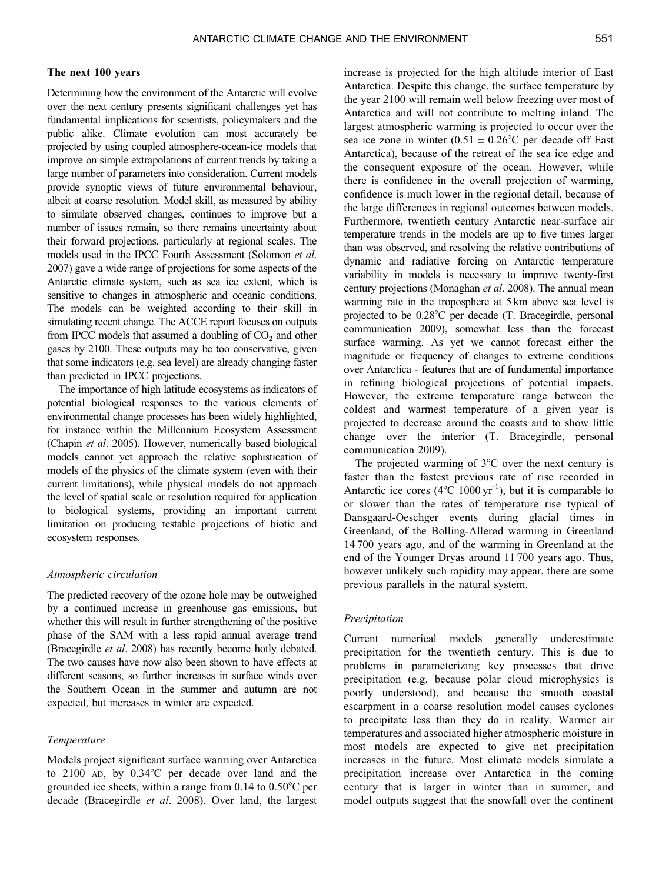## **The next 100 years**

Determining how the environment of the Antarctic will evolve over the next century presents significant challenges yet has fundamental implications for scientists, policymakers and the public alike. Climate evolution can most accurately be projected by using coupled atmosphere-ocean-ice models that improve on simple extrapolations of current trends by taking a large number of parameters into consideration. Current models provide synoptic views of future environmental behaviour, albeit at coarse resolution. Model skill, as measured by ability to simulate observed changes, continues to improve but a number of issues remain, so there remains uncertainty about their forward projections, particularly at regional scales. The models used in the IPCC Fourth Assessment (Solomon *et al*. 2007) gave a wide range of projections for some aspects of the Antarctic climate system, such as sea ice extent, which is sensitive to changes in atmospheric and oceanic conditions. The models can be weighted according to their skill in simulating recent change. The ACCE report focuses on outputs from IPCC models that assumed a doubling of  $CO<sub>2</sub>$  and other gases by 2100. These outputs may be too conservative, given that some indicators (e.g. sea level) are already changing faster than predicted in IPCC projections.

The importance of high latitude ecosystems as indicators of potential biological responses to the various elements of environmental change processes has been widely highlighted, for instance within the Millennium Ecosystem Assessment (Chapin *et al*. 2005). However, numerically based biological models cannot yet approach the relative sophistication of models of the physics of the climate system (even with their current limitations), while physical models do not approach the level of spatial scale or resolution required for application to biological systems, providing an important current limitation on producing testable projections of biotic and ecosystem responses.

#### *Atmospheric circulation*

The predicted recovery of the ozone hole may be outweighed by a continued increase in greenhouse gas emissions, but whether this will result in further strengthening of the positive phase of the SAM with a less rapid annual average trend (Bracegirdle *et al*. 2008) has recently become hotly debated. The two causes have now also been shown to have effects at different seasons, so further increases in surface winds over the Southern Ocean in the summer and autumn are not expected, but increases in winter are expected.

#### *Temperature*

Models project significant surface warming over Antarctica to  $2100$  AD, by  $0.34^{\circ}$ C per decade over land and the grounded ice sheets, within a range from  $0.14$  to  $0.50^{\circ}$ C per decade (Bracegirdle *et al*. 2008). Over land, the largest increase is projected for the high altitude interior of East Antarctica. Despite this change, the surface temperature by the year 2100 will remain well below freezing over most of Antarctica and will not contribute to melting inland. The largest atmospheric warming is projected to occur over the sea ice zone in winter (0.51  $\pm$  0.26°C per decade off East Antarctica), because of the retreat of the sea ice edge and the consequent exposure of the ocean. However, while there is confidence in the overall projection of warming, confidence is much lower in the regional detail, because of the large differences in regional outcomes between models. Furthermore, twentieth century Antarctic near-surface air temperature trends in the models are up to five times larger than was observed, and resolving the relative contributions of dynamic and radiative forcing on Antarctic temperature variability in models is necessary to improve twenty-first century projections (Monaghan *et al*. 2008). The annual mean warming rate in the troposphere at 5 km above sea level is projected to be 0.28°C per decade (T. Bracegirdle, personal communication 2009), somewhat less than the forecast surface warming. As yet we cannot forecast either the magnitude or frequency of changes to extreme conditions over Antarctica - features that are of fundamental importance in refining biological projections of potential impacts. However, the extreme temperature range between the coldest and warmest temperature of a given year is projected to decrease around the coasts and to show little change over the interior (T. Bracegirdle, personal communication 2009).

The projected warming of  $3^{\circ}$ C over the next century is faster than the fastest previous rate of rise recorded in Antarctic ice cores ( $4^{\circ}$ C 1000 yr<sup>-1</sup>), but it is comparable to or slower than the rates of temperature rise typical of Dansgaard-Oeschger events during glacial times in Greenland, of the Bolling-Allerød warming in Greenland 14 700 years ago, and of the warming in Greenland at the end of the Younger Dryas around 11 700 years ago. Thus, however unlikely such rapidity may appear, there are some previous parallels in the natural system.

#### *Precipitation*

Current numerical models generally underestimate precipitation for the twentieth century. This is due to problems in parameterizing key processes that drive precipitation (e.g. because polar cloud microphysics is poorly understood), and because the smooth coastal escarpment in a coarse resolution model causes cyclones to precipitate less than they do in reality. Warmer air temperatures and associated higher atmospheric moisture in most models are expected to give net precipitation increases in the future. Most climate models simulate a precipitation increase over Antarctica in the coming century that is larger in winter than in summer, and model outputs suggest that the snowfall over the continent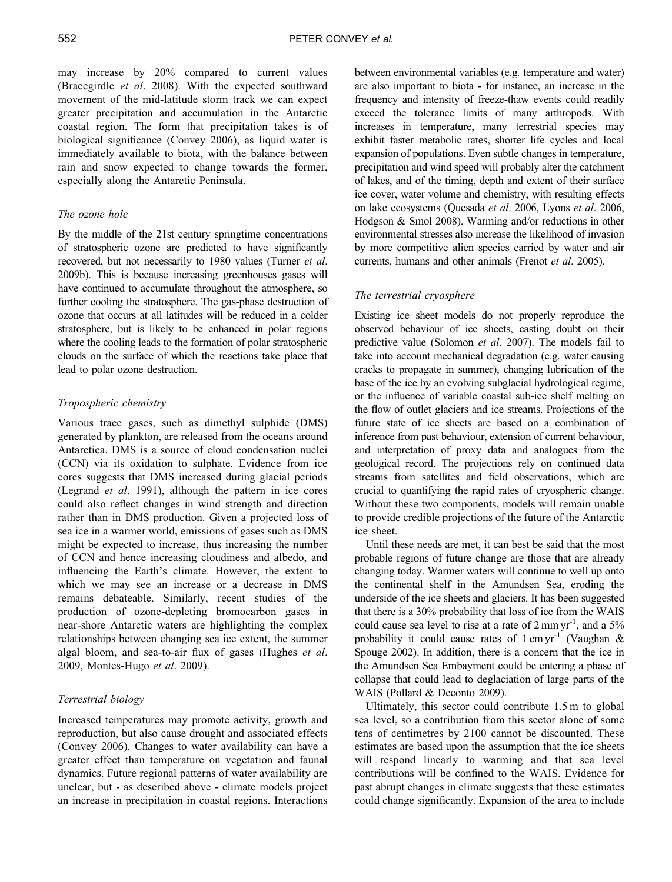may increase by 20% compared to current values (Bracegirdle *et al*. 2008). With the expected southward movement of the mid-latitude storm track we can expect greater precipitation and accumulation in the Antarctic coastal region. The form that precipitation takes is of biological significance (Convey 2006), as liquid water is immediately available to biota, with the balance between rain and snow expected to change towards the former, especially along the Antarctic Peninsula.

# *The ozone hole*

By the middle of the 21st century springtime concentrations of stratospheric ozone are predicted to have significantly recovered, but not necessarily to 1980 values (Turner *et al*. 2009b). This is because increasing greenhouses gases will have continued to accumulate throughout the atmosphere, so further cooling the stratosphere. The gas-phase destruction of ozone that occurs at all latitudes will be reduced in a colder stratosphere, but is likely to be enhanced in polar regions where the cooling leads to the formation of polar stratospheric clouds on the surface of which the reactions take place that lead to polar ozone destruction.

# *Tropospheric chemistry*

Various trace gases, such as dimethyl sulphide (DMS) generated by plankton, are released from the oceans around Antarctica. DMS is a source of cloud condensation nuclei (CCN) via its oxidation to sulphate. Evidence from ice cores suggests that DMS increased during glacial periods (Legrand *et al*. 1991), although the pattern in ice cores could also reflect changes in wind strength and direction rather than in DMS production. Given a projected loss of sea ice in a warmer world, emissions of gases such as DMS might be expected to increase, thus increasing the number of CCN and hence increasing cloudiness and albedo, and influencing the Earth's climate. However, the extent to which we may see an increase or a decrease in DMS remains debateable. Similarly, recent studies of the production of ozone-depleting bromocarbon gases in near-shore Antarctic waters are highlighting the complex relationships between changing sea ice extent, the summer algal bloom, and sea-to-air flux of gases (Hughes *et al*. 2009, Montes-Hugo *et al*. 2009).

#### *Terrestrial biology*

Increased temperatures may promote activity, growth and reproduction, but also cause drought and associated effects (Convey 2006). Changes to water availability can have a greater effect than temperature on vegetation and faunal dynamics. Future regional patterns of water availability are unclear, but - as described above - climate models project an increase in precipitation in coastal regions. Interactions between environmental variables (e.g*.* temperature and water) are also important to biota - for instance, an increase in the frequency and intensity of freeze-thaw events could readily exceed the tolerance limits of many arthropods. With increases in temperature, many terrestrial species may exhibit faster metabolic rates, shorter life cycles and local expansion of populations. Even subtle changes in temperature, precipitation and wind speed will probably alter the catchment of lakes, and of the timing, depth and extent of their surface ice cover, water volume and chemistry, with resulting effects on lake ecosystems (Quesada *et al*. 2006, Lyons *et al*. 2006, Hodgson & Smol 2008). Warming and/or reductions in other environmental stresses also increase the likelihood of invasion by more competitive alien species carried by water and air currents, humans and other animals (Frenot *et al*. 2005).

#### *The terrestrial cryosphere*

Existing ice sheet models do not properly reproduce the observed behaviour of ice sheets, casting doubt on their predictive value (Solomon *et al*. 2007). The models fail to take into account mechanical degradation (e.g. water causing cracks to propagate in summer), changing lubrication of the base of the ice by an evolving subglacial hydrological regime, or the influence of variable coastal sub-ice shelf melting on the flow of outlet glaciers and ice streams. Projections of the future state of ice sheets are based on a combination of inference from past behaviour, extension of current behaviour, and interpretation of proxy data and analogues from the geological record. The projections rely on continued data streams from satellites and field observations, which are crucial to quantifying the rapid rates of cryospheric change. Without these two components, models will remain unable to provide credible projections of the future of the Antarctic ice sheet.

Until these needs are met, it can best be said that the most probable regions of future change are those that are already changing today. Warmer waters will continue to well up onto the continental shelf in the Amundsen Sea, eroding the underside of the ice sheets and glaciers. It has been suggested that there is a 30% probability that loss of ice from the WAIS could cause sea level to rise at a rate of  $2 \text{ mm yr}^{-1}$ , and a 5% probability it could cause rates of  $1 \text{ cm yr}^{-1}$  (Vaughan & Spouge 2002). In addition, there is a concern that the ice in the Amundsen Sea Embayment could be entering a phase of collapse that could lead to deglaciation of large parts of the WAIS (Pollard & Deconto 2009).

Ultimately, this sector could contribute 1.5 m to global sea level, so a contribution from this sector alone of some tens of centimetres by 2100 cannot be discounted. These estimates are based upon the assumption that the ice sheets will respond linearly to warming and that sea level contributions will be confined to the WAIS. Evidence for past abrupt changes in climate suggests that these estimates could change significantly. Expansion of the area to include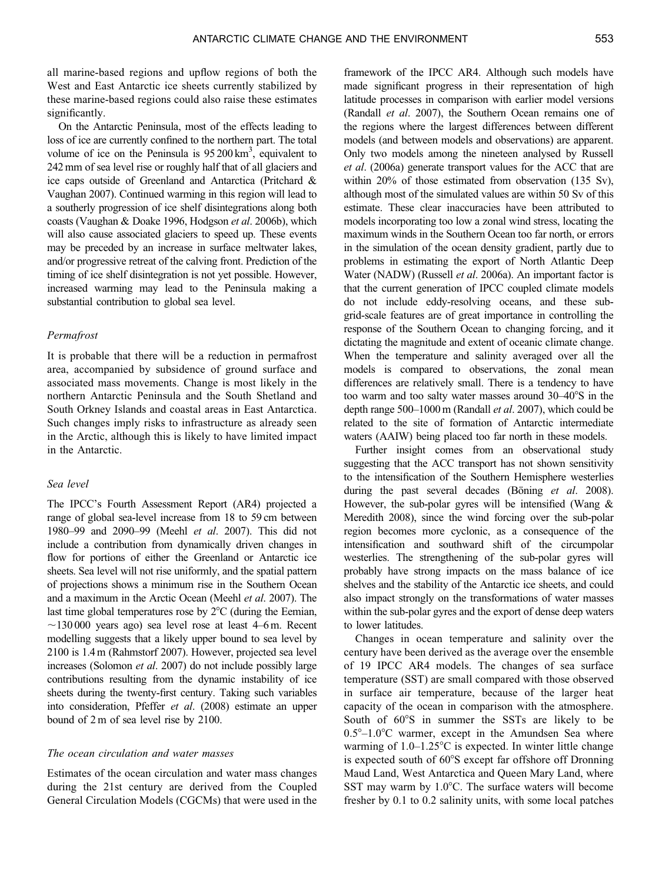all marine-based regions and upflow regions of both the West and East Antarctic ice sheets currently stabilized by these marine-based regions could also raise these estimates significantly.

On the Antarctic Peninsula, most of the effects leading to loss of ice are currently confined to the northern part. The total volume of ice on the Peninsula is  $95\,200\,\text{km}^3$ , equivalent to 242 mm of sea level rise or roughly half that of all glaciers and ice caps outside of Greenland and Antarctica (Pritchard & Vaughan 2007). Continued warming in this region will lead to a southerly progression of ice shelf disintegrations along both coasts (Vaughan & Doake 1996, Hodgson *et al*. 2006b), which will also cause associated glaciers to speed up. These events may be preceded by an increase in surface meltwater lakes, and/or progressive retreat of the calving front. Prediction of the timing of ice shelf disintegration is not yet possible. However, increased warming may lead to the Peninsula making a substantial contribution to global sea level.

# *Permafrost*

It is probable that there will be a reduction in permafrost area, accompanied by subsidence of ground surface and associated mass movements. Change is most likely in the northern Antarctic Peninsula and the South Shetland and South Orkney Islands and coastal areas in East Antarctica. Such changes imply risks to infrastructure as already seen in the Arctic, although this is likely to have limited impact in the Antarctic.

# *Sea level*

The IPCC's Fourth Assessment Report (AR4) projected a range of global sea-level increase from 18 to 59 cm between 1980–99 and 2090–99 (Meehl *et al*. 2007). This did not include a contribution from dynamically driven changes in flow for portions of either the Greenland or Antarctic ice sheets. Sea level will not rise uniformly, and the spatial pattern of projections shows a minimum rise in the Southern Ocean and a maximum in the Arctic Ocean (Meehl *et al*. 2007). The last time global temperatures rose by  $2^{\circ}C$  (during the Eemian,  $\sim$ 130 000 years ago) sea level rose at least 4–6 m. Recent modelling suggests that a likely upper bound to sea level by 2100 is 1.4 m (Rahmstorf 2007). However, projected sea level increases (Solomon *et al*. 2007) do not include possibly large contributions resulting from the dynamic instability of ice sheets during the twenty-first century. Taking such variables into consideration, Pfeffer *et al*. (2008) estimate an upper bound of 2 m of sea level rise by 2100.

# *The ocean circulation and water masses*

Estimates of the ocean circulation and water mass changes during the 21st century are derived from the Coupled General Circulation Models (CGCMs) that were used in the

framework of the IPCC AR4. Although such models have made significant progress in their representation of high latitude processes in comparison with earlier model versions (Randall *et al*. 2007), the Southern Ocean remains one of the regions where the largest differences between different models (and between models and observations) are apparent. Only two models among the nineteen analysed by Russell *et al*. (2006a) generate transport values for the ACC that are within 20% of those estimated from observation (135 Sv), although most of the simulated values are within 50 Sv of this estimate. These clear inaccuracies have been attributed to models incorporating too low a zonal wind stress, locating the maximum winds in the Southern Ocean too far north, or errors in the simulation of the ocean density gradient, partly due to problems in estimating the export of North Atlantic Deep Water (NADW) (Russell *et al*. 2006a). An important factor is that the current generation of IPCC coupled climate models do not include eddy-resolving oceans, and these subgrid-scale features are of great importance in controlling the response of the Southern Ocean to changing forcing, and it dictating the magnitude and extent of oceanic climate change. When the temperature and salinity averaged over all the models is compared to observations, the zonal mean differences are relatively small. There is a tendency to have too warm and too salty water masses around  $30-40^{\circ}$ S in the depth range 500–1000 m (Randall *et al*. 2007), which could be related to the site of formation of Antarctic intermediate waters (AAIW) being placed too far north in these models.

Further insight comes from an observational study suggesting that the ACC transport has not shown sensitivity to the intensification of the Southern Hemisphere westerlies during the past several decades (Böning *et al.* 2008). However, the sub-polar gyres will be intensified (Wang & Meredith 2008), since the wind forcing over the sub-polar region becomes more cyclonic, as a consequence of the intensification and southward shift of the circumpolar westerlies. The strengthening of the sub-polar gyres will probably have strong impacts on the mass balance of ice shelves and the stability of the Antarctic ice sheets, and could also impact strongly on the transformations of water masses within the sub-polar gyres and the export of dense deep waters to lower latitudes.

Changes in ocean temperature and salinity over the century have been derived as the average over the ensemble of 19 IPCC AR4 models. The changes of sea surface temperature (SST) are small compared with those observed in surface air temperature, because of the larger heat capacity of the ocean in comparison with the atmosphere. South of  $60^{\circ}$ S in summer the SSTs are likely to be  $0.5^{\circ}-1.0^{\circ}$ C warmer, except in the Amundsen Sea where warming of  $1.0-1.25^{\circ}$ C is expected. In winter little change is expected south of 60°S except far offshore off Dronning Maud Land, West Antarctica and Queen Mary Land, where SST may warm by  $1.0^{\circ}$ C. The surface waters will become fresher by 0.1 to 0.2 salinity units, with some local patches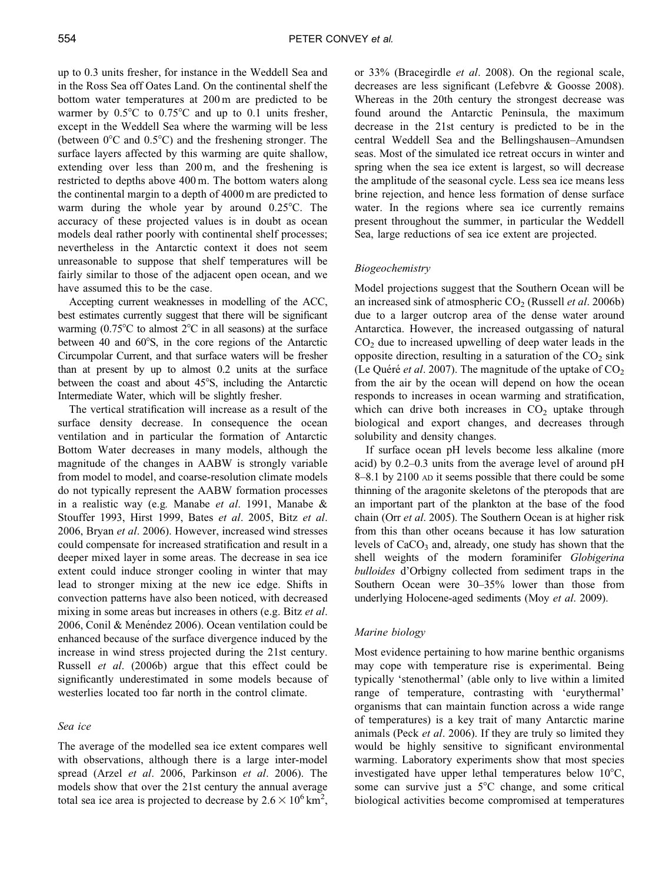up to 0.3 units fresher, for instance in the Weddell Sea and in the Ross Sea off Oates Land. On the continental shelf the bottom water temperatures at 200 m are predicted to be warmer by  $0.5^{\circ}$ C to  $0.75^{\circ}$ C and up to 0.1 units fresher, except in the Weddell Sea where the warming will be less (between  $0^{\circ}$ C and  $0.5^{\circ}$ C) and the freshening stronger. The surface layers affected by this warming are quite shallow, extending over less than 200 m, and the freshening is restricted to depths above 400 m. The bottom waters along the continental margin to a depth of 4000 m are predicted to warm during the whole year by around  $0.25^{\circ}$ C. The accuracy of these projected values is in doubt as ocean models deal rather poorly with continental shelf processes; nevertheless in the Antarctic context it does not seem unreasonable to suppose that shelf temperatures will be fairly similar to those of the adjacent open ocean, and we have assumed this to be the case.

Accepting current weaknesses in modelling of the ACC, best estimates currently suggest that there will be significant warming  $(0.75^{\circ}C)$  to almost  $2^{\circ}C$  in all seasons) at the surface between 40 and  $60^{\circ}$ S, in the core regions of the Antarctic Circumpolar Current, and that surface waters will be fresher than at present by up to almost 0.2 units at the surface between the coast and about  $45^{\circ}$ S, including the Antarctic Intermediate Water, which will be slightly fresher.

The vertical stratification will increase as a result of the surface density decrease. In consequence the ocean ventilation and in particular the formation of Antarctic Bottom Water decreases in many models, although the magnitude of the changes in AABW is strongly variable from model to model, and coarse-resolution climate models do not typically represent the AABW formation processes in a realistic way (e.g*.* Manabe *et al*. 1991, Manabe & Stouffer 1993, Hirst 1999, Bates *et al*. 2005, Bitz *et al*. 2006, Bryan *et al*. 2006). However, increased wind stresses could compensate for increased stratification and result in a deeper mixed layer in some areas. The decrease in sea ice extent could induce stronger cooling in winter that may lead to stronger mixing at the new ice edge. Shifts in convection patterns have also been noticed, with decreased mixing in some areas but increases in others (e.g. Bitz *et al*. 2006, Conil & Menéndez 2006). Ocean ventilation could be enhanced because of the surface divergence induced by the increase in wind stress projected during the 21st century. Russell *et al*. (2006b) argue that this effect could be significantly underestimated in some models because of westerlies located too far north in the control climate.

# *Sea ice*

The average of the modelled sea ice extent compares well with observations, although there is a large inter-model spread (Arzel *et al*. 2006, Parkinson *et al*. 2006). The models show that over the 21st century the annual average total sea ice area is projected to decrease by  $2.6 \times 10^6 \text{ km}^2$ ,

or 33% (Bracegirdle *et al*. 2008). On the regional scale, decreases are less significant (Lefebvre & Goosse 2008). Whereas in the 20th century the strongest decrease was found around the Antarctic Peninsula, the maximum decrease in the 21st century is predicted to be in the central Weddell Sea and the Bellingshausen–Amundsen seas. Most of the simulated ice retreat occurs in winter and spring when the sea ice extent is largest, so will decrease the amplitude of the seasonal cycle. Less sea ice means less brine rejection, and hence less formation of dense surface water. In the regions where sea ice currently remains present throughout the summer, in particular the Weddell Sea, large reductions of sea ice extent are projected.

#### *Biogeochemistry*

Model projections suggest that the Southern Ocean will be an increased sink of atmospheric CO<sub>2</sub> (Russell *et al.* 2006b) due to a larger outcrop area of the dense water around Antarctica. However, the increased outgassing of natural  $CO<sub>2</sub>$  due to increased upwelling of deep water leads in the opposite direction, resulting in a saturation of the  $CO<sub>2</sub>$  sink (Le Quéré *et al.* 2007). The magnitude of the uptake of  $CO<sub>2</sub>$ from the air by the ocean will depend on how the ocean responds to increases in ocean warming and stratification, which can drive both increases in  $CO<sub>2</sub>$  uptake through biological and export changes, and decreases through solubility and density changes.

If surface ocean pH levels become less alkaline (more acid) by 0.2–0.3 units from the average level of around pH 8–8.1 by 2100 AD it seems possible that there could be some thinning of the aragonite skeletons of the pteropods that are an important part of the plankton at the base of the food chain (Orr *et al*. 2005). The Southern Ocean is at higher risk from this than other oceans because it has low saturation levels of CaCO<sub>3</sub> and, already, one study has shown that the shell weights of the modern foraminifer *Globigerina bulloides* d'Orbigny collected from sediment traps in the Southern Ocean were 30–35% lower than those from underlying Holocene-aged sediments (Moy *et al*. 2009).

#### *Marine biology*

Most evidence pertaining to how marine benthic organisms may cope with temperature rise is experimental. Being typically 'stenothermal' (able only to live within a limited range of temperature, contrasting with 'eurythermal' organisms that can maintain function across a wide range of temperatures) is a key trait of many Antarctic marine animals (Peck *et al*. 2006). If they are truly so limited they would be highly sensitive to significant environmental warming. Laboratory experiments show that most species investigated have upper lethal temperatures below  $10^{\circ}$ C, some can survive just a  $5^{\circ}$ C change, and some critical biological activities become compromised at temperatures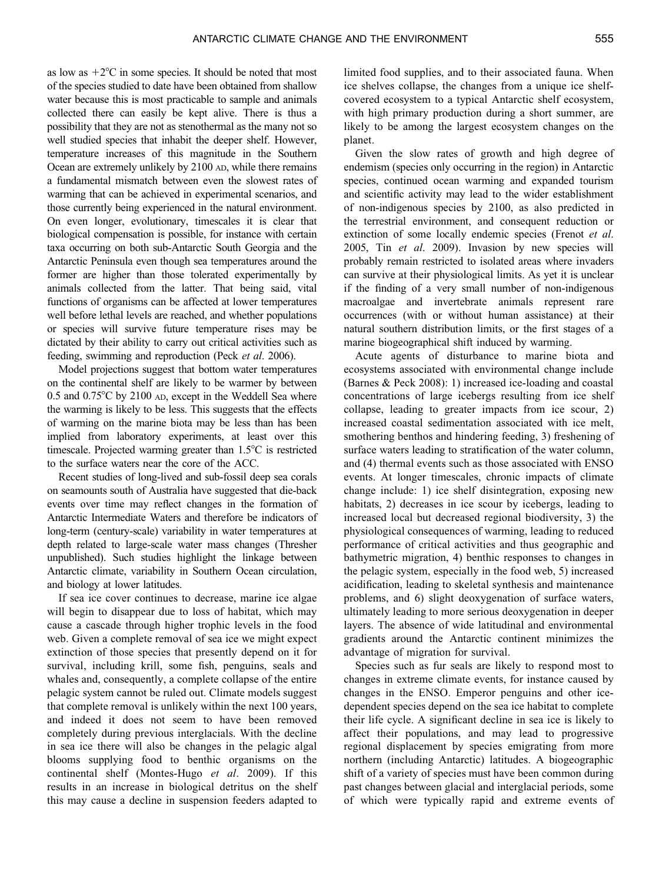as low as  $+2^{\circ}C$  in some species. It should be noted that most of the species studied to date have been obtained from shallow water because this is most practicable to sample and animals collected there can easily be kept alive. There is thus a possibility that they are not as stenothermal as the many not so well studied species that inhabit the deeper shelf. However, temperature increases of this magnitude in the Southern Ocean are extremely unlikely by 2100 AD, while there remains a fundamental mismatch between even the slowest rates of warming that can be achieved in experimental scenarios, and those currently being experienced in the natural environment. On even longer, evolutionary, timescales it is clear that biological compensation is possible, for instance with certain taxa occurring on both sub-Antarctic South Georgia and the Antarctic Peninsula even though sea temperatures around the former are higher than those tolerated experimentally by animals collected from the latter. That being said, vital functions of organisms can be affected at lower temperatures well before lethal levels are reached, and whether populations or species will survive future temperature rises may be dictated by their ability to carry out critical activities such as feeding, swimming and reproduction (Peck *et al*. 2006).

Model projections suggest that bottom water temperatures on the continental shelf are likely to be warmer by between  $0.5$  and  $0.75^{\circ}$ C by 2100 AD, except in the Weddell Sea where the warming is likely to be less. This suggests that the effects of warming on the marine biota may be less than has been implied from laboratory experiments, at least over this timescale. Projected warming greater than  $1.5^{\circ}$ C is restricted to the surface waters near the core of the ACC.

Recent studies of long-lived and sub-fossil deep sea corals on seamounts south of Australia have suggested that die-back events over time may reflect changes in the formation of Antarctic Intermediate Waters and therefore be indicators of long-term (century-scale) variability in water temperatures at depth related to large-scale water mass changes (Thresher unpublished). Such studies highlight the linkage between Antarctic climate, variability in Southern Ocean circulation, and biology at lower latitudes.

If sea ice cover continues to decrease, marine ice algae will begin to disappear due to loss of habitat, which may cause a cascade through higher trophic levels in the food web. Given a complete removal of sea ice we might expect extinction of those species that presently depend on it for survival, including krill, some fish, penguins, seals and whales and, consequently, a complete collapse of the entire pelagic system cannot be ruled out. Climate models suggest that complete removal is unlikely within the next 100 years, and indeed it does not seem to have been removed completely during previous interglacials. With the decline in sea ice there will also be changes in the pelagic algal blooms supplying food to benthic organisms on the continental shelf (Montes-Hugo *et al*. 2009). If this results in an increase in biological detritus on the shelf this may cause a decline in suspension feeders adapted to limited food supplies, and to their associated fauna. When ice shelves collapse, the changes from a unique ice shelfcovered ecosystem to a typical Antarctic shelf ecosystem, with high primary production during a short summer, are likely to be among the largest ecosystem changes on the planet.

Given the slow rates of growth and high degree of endemism (species only occurring in the region) in Antarctic species, continued ocean warming and expanded tourism and scientific activity may lead to the wider establishment of non-indigenous species by 2100, as also predicted in the terrestrial environment, and consequent reduction or extinction of some locally endemic species (Frenot *et al*. 2005, Tin *et al*. 2009). Invasion by new species will probably remain restricted to isolated areas where invaders can survive at their physiological limits. As yet it is unclear if the finding of a very small number of non-indigenous macroalgae and invertebrate animals represent rare occurrences (with or without human assistance) at their natural southern distribution limits, or the first stages of a marine biogeographical shift induced by warming.

Acute agents of disturbance to marine biota and ecosystems associated with environmental change include (Barnes & Peck 2008): 1) increased ice-loading and coastal concentrations of large icebergs resulting from ice shelf collapse, leading to greater impacts from ice scour, 2) increased coastal sedimentation associated with ice melt, smothering benthos and hindering feeding, 3) freshening of surface waters leading to stratification of the water column, and (4) thermal events such as those associated with ENSO events. At longer timescales, chronic impacts of climate change include: 1) ice shelf disintegration, exposing new habitats, 2) decreases in ice scour by icebergs, leading to increased local but decreased regional biodiversity, 3) the physiological consequences of warming, leading to reduced performance of critical activities and thus geographic and bathymetric migration, 4) benthic responses to changes in the pelagic system, especially in the food web, 5) increased acidification, leading to skeletal synthesis and maintenance problems, and 6) slight deoxygenation of surface waters, ultimately leading to more serious deoxygenation in deeper layers. The absence of wide latitudinal and environmental gradients around the Antarctic continent minimizes the advantage of migration for survival.

Species such as fur seals are likely to respond most to changes in extreme climate events, for instance caused by changes in the ENSO. Emperor penguins and other icedependent species depend on the sea ice habitat to complete their life cycle. A significant decline in sea ice is likely to affect their populations, and may lead to progressive regional displacement by species emigrating from more northern (including Antarctic) latitudes. A biogeographic shift of a variety of species must have been common during past changes between glacial and interglacial periods, some of which were typically rapid and extreme events of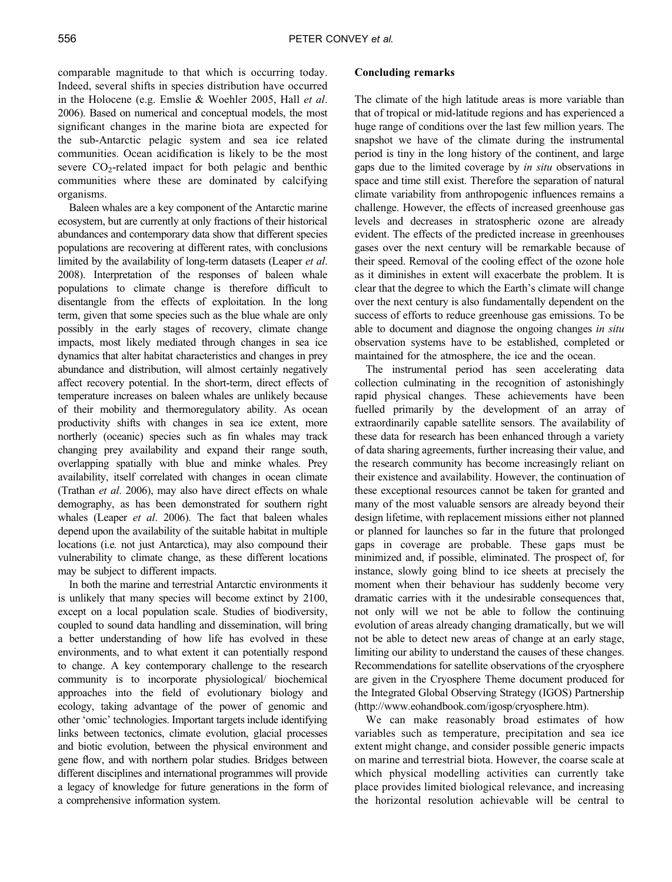comparable magnitude to that which is occurring today. Indeed, several shifts in species distribution have occurred in the Holocene (e.g. Emslie & Woehler 2005, Hall *et al*. 2006). Based on numerical and conceptual models, the most significant changes in the marine biota are expected for the sub-Antarctic pelagic system and sea ice related communities. Ocean acidification is likely to be the most severe  $CO<sub>2</sub>$ -related impact for both pelagic and benthic communities where these are dominated by calcifying organisms.

Baleen whales are a key component of the Antarctic marine ecosystem, but are currently at only fractions of their historical abundances and contemporary data show that different species populations are recovering at different rates, with conclusions limited by the availability of long-term datasets (Leaper *et al*. 2008). Interpretation of the responses of baleen whale populations to climate change is therefore difficult to disentangle from the effects of exploitation. In the long term, given that some species such as the blue whale are only possibly in the early stages of recovery, climate change impacts, most likely mediated through changes in sea ice dynamics that alter habitat characteristics and changes in prey abundance and distribution, will almost certainly negatively affect recovery potential. In the short-term, direct effects of temperature increases on baleen whales are unlikely because of their mobility and thermoregulatory ability. As ocean productivity shifts with changes in sea ice extent, more northerly (oceanic) species such as fin whales may track changing prey availability and expand their range south, overlapping spatially with blue and minke whales. Prey availability, itself correlated with changes in ocean climate (Trathan *et al*. 2006), may also have direct effects on whale demography, as has been demonstrated for southern right whales (Leaper *et al*. 2006). The fact that baleen whales depend upon the availability of the suitable habitat in multiple locations (i.e*.* not just Antarctica), may also compound their vulnerability to climate change, as these different locations may be subject to different impacts.

In both the marine and terrestrial Antarctic environments it is unlikely that many species will become extinct by 2100, except on a local population scale. Studies of biodiversity, coupled to sound data handling and dissemination, will bring a better understanding of how life has evolved in these environments, and to what extent it can potentially respond to change. A key contemporary challenge to the research community is to incorporate physiological/ biochemical approaches into the field of evolutionary biology and ecology, taking advantage of the power of genomic and other 'omic' technologies. Important targets include identifying links between tectonics, climate evolution, glacial processes and biotic evolution, between the physical environment and gene flow, and with northern polar studies. Bridges between different disciplines and international programmes will provide a legacy of knowledge for future generations in the form of a comprehensive information system.

#### **Concluding remarks**

The climate of the high latitude areas is more variable than that of tropical or mid-latitude regions and has experienced a huge range of conditions over the last few million years. The snapshot we have of the climate during the instrumental period is tiny in the long history of the continent, and large gaps due to the limited coverage by *in situ* observations in space and time still exist. Therefore the separation of natural climate variability from anthropogenic influences remains a challenge. However, the effects of increased greenhouse gas levels and decreases in stratospheric ozone are already evident. The effects of the predicted increase in greenhouses gases over the next century will be remarkable because of their speed. Removal of the cooling effect of the ozone hole as it diminishes in extent will exacerbate the problem. It is clear that the degree to which the Earth's climate will change over the next century is also fundamentally dependent on the success of efforts to reduce greenhouse gas emissions. To be able to document and diagnose the ongoing changes *in situ* observation systems have to be established, completed or maintained for the atmosphere, the ice and the ocean.

The instrumental period has seen accelerating data collection culminating in the recognition of astonishingly rapid physical changes. These achievements have been fuelled primarily by the development of an array of extraordinarily capable satellite sensors. The availability of these data for research has been enhanced through a variety of data sharing agreements, further increasing their value, and the research community has become increasingly reliant on their existence and availability. However, the continuation of these exceptional resources cannot be taken for granted and many of the most valuable sensors are already beyond their design lifetime, with replacement missions either not planned or planned for launches so far in the future that prolonged gaps in coverage are probable. These gaps must be minimized and, if possible, eliminated. The prospect of, for instance, slowly going blind to ice sheets at precisely the moment when their behaviour has suddenly become very dramatic carries with it the undesirable consequences that, not only will we not be able to follow the continuing evolution of areas already changing dramatically, but we will not be able to detect new areas of change at an early stage, limiting our ability to understand the causes of these changes. Recommendations for satellite observations of the cryosphere are given in the Cryosphere Theme document produced for the Integrated Global Observing Strategy (IGOS) Partnership (http://www.eohandbook.com/igosp/cryosphere.htm).

We can make reasonably broad estimates of how variables such as temperature, precipitation and sea ice extent might change, and consider possible generic impacts on marine and terrestrial biota. However, the coarse scale at which physical modelling activities can currently take place provides limited biological relevance, and increasing the horizontal resolution achievable will be central to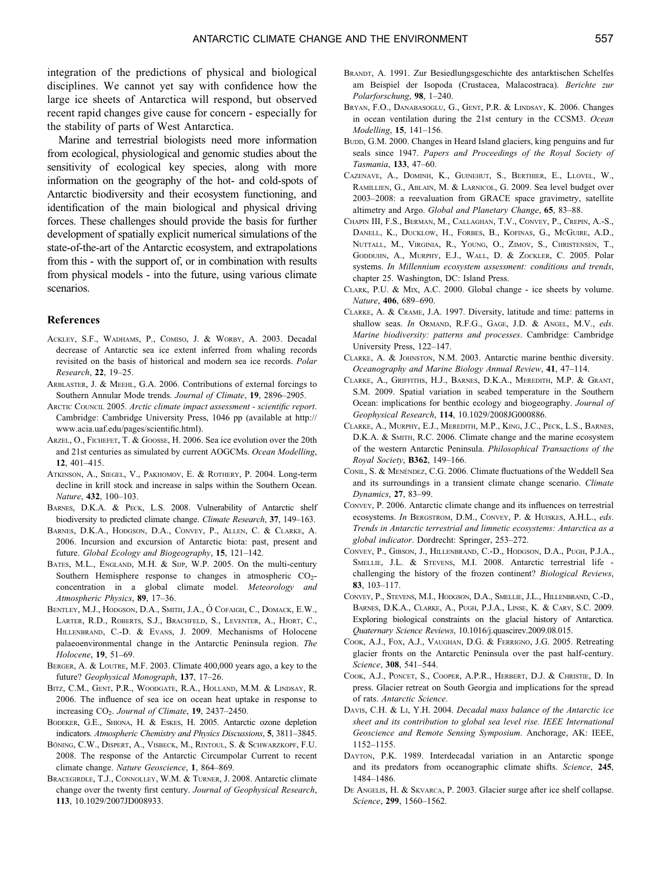integration of the predictions of physical and biological disciplines. We cannot yet say with confidence how the large ice sheets of Antarctica will respond, but observed recent rapid changes give cause for concern - especially for the stability of parts of West Antarctica.

Marine and terrestrial biologists need more information from ecological, physiological and genomic studies about the sensitivity of ecological key species, along with more information on the geography of the hot- and cold-spots of Antarctic biodiversity and their ecosystem functioning, and identification of the main biological and physical driving forces. These challenges should provide the basis for further development of spatially explicit numerical simulations of the state-of-the-art of the Antarctic ecosystem, and extrapolations from this - with the support of, or in combination with results from physical models - into the future, using various climate scenarios.

#### **References**

- ACKLEY, S.F., WADHAMS, P., COMISO, J. & WORBY, A. 2003. Decadal decrease of Antarctic sea ice extent inferred from whaling records revisited on the basis of historical and modern sea ice records. *Polar Research*, **22**, 19–25.
- ARBLASTER, J. & MEEHL, G.A. 2006. Contributions of external forcings to Southern Annular Mode trends. *Journal of Climate*, **19**, 2896–2905.
- ARCTIC COUNCIL 2005. *Arctic climate impact assessment scientific report*. Cambridge: Cambridge University Press, 1046 pp (available at http:// www.acia.uaf.edu/pages/scientific.html).
- ARZEL, O., FICHEFET, T. & GOOSSE, H. 2006. Sea ice evolution over the 20th and 21st centuries as simulated by current AOGCMs. *Ocean Modelling*, **12**, 401–415.
- ATKINSON, A., SIEGEL, V., PAKHOMOV, E. & ROTHERY, P. 2004. Long-term decline in krill stock and increase in salps within the Southern Ocean. *Nature*, **432**, 100–103.
- BARNES, D.K.A. & PECK, L.S. 2008. Vulnerability of Antarctic shelf biodiversity to predicted climate change. *Climate Research*, **37**, 149–163.
- BARNES, D.K.A., HODGSON, D.A., CONVEY, P., ALLEN, C. & CLARKE, A. 2006. Incursion and excursion of Antarctic biota: past, present and future. *Global Ecology and Biogeography*, **15**, 121–142.
- BATES, M.L., ENGLAND, M.H. & SIJP, W.P. 2005. On the multi-century Southern Hemisphere response to changes in atmospheric  $CO<sub>2</sub>$ concentration in a global climate model. *Meteorology and Atmospheric Physics*, **89**, 17–36.
- BENTLEY, M.J., HODGSON, D.A., SMITH, J.A., Ó COFAIGH, C., DOMACK, E.W., LARTER, R.D., ROBERTS, S.J., BRACHFELD, S., LEVENTER, A., HJORT, C., HILLENBRAND, C.-D. & EVANS, J. 2009. Mechanisms of Holocene palaeoenvironmental change in the Antarctic Peninsula region. *The Holocene*, **19**, 51–69.
- BERGER, A. & LOUTRE, M.F. 2003. Climate 400,000 years ago, a key to the future? *Geophysical Monograph*, **137**, 17–26.
- BITZ, C.M., GENT, P.R., WOODGATE, R.A., HOLLAND, M.M. & LINDSAY, R. 2006. The influence of sea ice on ocean heat uptake in response to increasing CO2. *Journal of Climate*, **19**, 2437–2450.
- BODEKER, G.E., SHIONA, H. & ESKES, H. 2005. Antarctic ozone depletion indicators. *Atmospheric Chemistry and Physics Discussions*, **5**, 3811–3845.
- BÖNING, C.W., DISPERT, A., VISBECK, M., RINTOUL, S. & SCHWARZKOPF, F.U. 2008. The response of the Antarctic Circumpolar Current to recent climate change. *Nature Geoscience*, **1**, 864–869.
- BRACEGIRDLE, T.J., CONNOLLEY, W.M. & TURNER, J. 2008. Antarctic climate change over the twenty first century. *Journal of Geophysical Research*, **113**, 10.1029/2007JD008933.
- BRANDT, A. 1991. Zur Besiedlungsgeschichte des antarktischen Schelfes am Beispiel der Isopoda (Crustacea, Malacostraca). *Berichte zur Polarforschung*, **98**, 1–240.
- BRYAN, F.O., DANABASOGLU, G., GENT, P.R. & LINDSAY, K. 2006. Changes in ocean ventilation during the 21st century in the CCSM3. *Ocean Modelling*, **15**, 141–156.
- BUDD, G.M. 2000. Changes in Heard Island glaciers, king penguins and fur seals since 1947. *Papers and Proceedings of the Royal Society of Tasmania*, **133**, 47–60.
- CAZENAVE, A., DOMINH, K., GUINEHUT, S., BERTHIER, E., LLOVEL, W., RAMILLIEN, G., ABLAIN, M. & LARNICOL, G. 2009. Sea level budget over 2003–2008: a reevaluation from GRACE space gravimetry, satellite altimetry and Argo. *Global and Planetary Change*, **65**, 83–88.
- CHAPIN III, F.S., BERMAN, M., CALLAGHAN, T.V., CONVEY, P., CREPIN, A.-S., DANELL, K., DUCKLOW, H., FORBES, B., KOFINAS, G., MCGUIRE, A.D., NUTTALL, M., VIRGINIA, R., YOUNG, O., ZIMOV, S., CHRISTENSEN, T., GODDUHN, A., MURPHY, E.J., WALL, D. & ZOCKLER, C. 2005. Polar systems. *In Millennium ecosystem assessment: conditions and trends*, chapter 25. Washington, DC: Island Press.
- CLARK, P.U. & MIX, A.C. 2000. Global change ice sheets by volume. *Nature*, **406**, 689–690.
- CLARKE, A. & CRAME, J.A. 1997. Diversity, latitude and time: patterns in shallow seas. *In* ORMAND, R.F.G., GAGE, J.D. & ANGEL, M.V., *eds*. *Marine biodiversity: patterns and processes*. Cambridge: Cambridge University Press, 122–147.
- CLARKE, A. & JOHNSTON, N.M. 2003. Antarctic marine benthic diversity. *Oceanography and Marine Biology Annual Review*, **41**, 47–114.
- CLARKE, A., GRIFFITHS, H.J., BARNES, D.K.A., MEREDITH, M.P. & GRANT, S.M. 2009. Spatial variation in seabed temperature in the Southern Ocean: implications for benthic ecology and biogeography. *Journal of Geophysical Research*, **114**, 10.1029/2008JG000886.
- CLARKE, A., MURPHY, E.J., MEREDITH, M.P., KING, J.C., PECK, L.S., BARNES, D.K.A. & SMITH, R.C. 2006. Climate change and the marine ecosystem of the western Antarctic Peninsula. *Philosophical Transactions of the Royal Society*, **B362**, 149–166.
- CONIL, S. & MENÉNDEZ, C.G. 2006. Climate fluctuations of the Weddell Sea and its surroundings in a transient climate change scenario. *Climate Dynamics*, **27**, 83–99.
- CONVEY, P. 2006. Antarctic climate change and its influences on terrestrial ecosystems. *In* BERGSTROM, D.M., CONVEY, P. & HUISKES, A.H.L., *eds*. *Trends in Antarctic terrestrial and limnetic ecosystems: Antarctica as a global indicator*. Dordrecht: Springer, 253–272.
- CONVEY, P., GIBSON, J., HILLENBRAND, C.-D., HODGSON, D.A., PUGH, P.J.A., SMELLIE, J.L. & STEVENS, M.I. 2008. Antarctic terrestrial life challenging the history of the frozen continent? *Biological Reviews*, **83**, 103–117.
- CONVEY, P., STEVENS, M.I., HODGSON, D.A., SMELLIE, J.L., HILLENBRAND, C.-D., BARNES, D.K.A., CLARKE, A., PUGH, P.J.A., LINSE, K. & CARY, S.C. 2009. Exploring biological constraints on the glacial history of Antarctica. *Quaternary Science Reviews*, 10.1016/j.quascirev.2009.08.015.
- COOK, A.J., FOX, A.J., VAUGHAN, D.G. & FERRIGNO, J.G. 2005. Retreating glacier fronts on the Antarctic Peninsula over the past half-century. *Science*, **308**, 541–544.
- COOK, A.J., PONCET, S., COOPER, A.P.R., HERBERT, D.J. & CHRISTIE, D. In press. Glacier retreat on South Georgia and implications for the spread of rats. *Antarctic Science*.
- DAVIS, C.H. & LI, Y.H. 2004. *Decadal mass balance of the Antarctic ice sheet and its contribution to global sea level rise. IEEE International Geoscience and Remote Sensing Symposium*. Anchorage, AK: IEEE, 1152–1155.
- DAYTON, P.K. 1989. Interdecadal variation in an Antarctic sponge and its predators from oceanographic climate shifts. *Science*, **245**, 1484–1486.
- DE ANGELIS, H. & SKVARCA, P. 2003. Glacier surge after ice shelf collapse. *Science*, **299**, 1560–1562.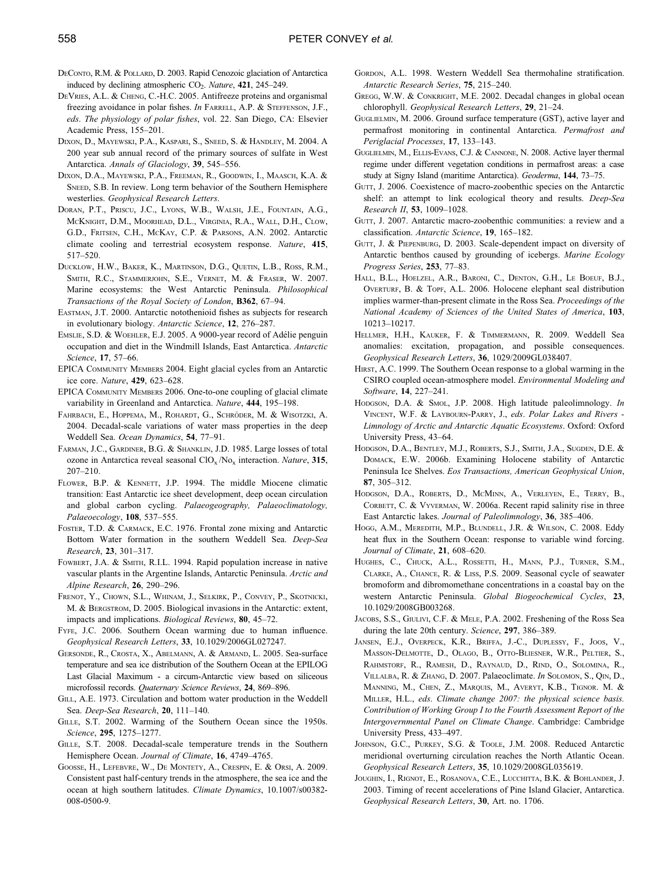- DECONTO, R.M. & POLLARD, D. 2003. Rapid Cenozoic glaciation of Antarctica induced by declining atmospheric CO<sub>2</sub>. *Nature*, **421**, 245–249.
- DEVRIES, A.L. & CHENG, C.-H.C. 2005. Antifreeze proteins and organismal freezing avoidance in polar fishes. *In* FARRELL, A.P. & STEFFENSON, J.F., *eds*. *The physiology of polar fishes*, vol. 22. San Diego, CA: Elsevier Academic Press, 155–201.
- DIXON, D., MAYEWSKI, P.A., KASPARI, S., SNEED, S. & HANDLEY, M. 2004. A 200 year sub annual record of the primary sources of sulfate in West Antarctica. *Annals of Glaciology*, **39**, 545–556.
- DIXON, D.A., MAYEWSKI, P.A., FREEMAN, R., GOODWIN, I., MAASCH, K.A. & SNEED, S.B. In review. Long term behavior of the Southern Hemisphere westerlies. *Geophysical Research Letters*.
- DORAN, P.T., PRISCU, J.C., LYONS, W.B., WALSH, J.E., FOUNTAIN, A.G., MCKNIGHT, D.M., MOORHEAD, D.L., VIRGINIA, R.A., WALL, D.H., CLOW, G.D., FRITSEN, C.H., MCKAY, C.P. & PARSONS, A.N. 2002. Antarctic climate cooling and terrestrial ecosystem response. *Nature*, **415**, 517–520.
- DUCKLOW, H.W., BAKER, K., MARTINSON, D.G., QUETIN, L.B., ROSS, R.M., SMITH, R.C., STAMMERJOHN, S.E., VERNET, M. & FRASER, W. 2007. Marine ecosystems: the West Antarctic Peninsula. *Philosophical Transactions of the Royal Society of London*, **B362**, 67–94.
- EASTMAN, J.T. 2000. Antarctic notothenioid fishes as subjects for research in evolutionary biology. *Antarctic Science*, **12**, 276–287.
- EMSLIE, S.D. & WOEHLER, E.J. 2005. A 9000-year record of Adélie penguin occupation and diet in the Windmill Islands, East Antarctica. *Antarctic Science*, **17**, 57–66.
- EPICA COMMUNITY MEMBERS 2004. Eight glacial cycles from an Antarctic ice core. *Nature*, **429**, 623–628.
- EPICA COMMUNITY MEMBERS 2006. One-to-one coupling of glacial climate variability in Greenland and Antarctica. *Nature*, **444**, 195–198.
- FAHRBACH, E., HOPPEMA, M., ROHARDT, G., SCHRÖDER, M. & WISOTZKI, A. 2004. Decadal-scale variations of water mass properties in the deep Weddell Sea. *Ocean Dynamics*, **54**, 77–91.
- FARMAN, J.C., GARDINER, B.G. & SHANKLIN, J.D. 1985. Large losses of total ozone in Antarctica reveal seasonal ClOx /Nox interaction. *Nature*, **315**, 207–210.
- FLOWER, B.P. & KENNETT, J.P. 1994. The middle Miocene climatic transition: East Antarctic ice sheet development, deep ocean circulation and global carbon cycling. *Palaeogeography, Palaeoclimatology, Palaeoecology*, **108**, 537–555.
- FOSTER, T.D. & CARMACK, E.C. 1976. Frontal zone mixing and Antarctic Bottom Water formation in the southern Weddell Sea. *Deep-Sea Research*, **23**, 301–317.
- FOWBERT, J.A. & SMITH, R.I.L. 1994. Rapid population increase in native vascular plants in the Argentine Islands, Antarctic Peninsula. *Arctic and Alpine Research*, **26**, 290–296.
- FRENOT, Y., CHOWN, S.L., WHINAM, J., SELKIRK, P., CONVEY, P., SKOTNICKI, M. & BERGSTROM, D. 2005. Biological invasions in the Antarctic: extent, impacts and implications. *Biological Reviews*, **80**, 45–72.
- FYFE, J.C. 2006. Southern Ocean warming due to human influence. *Geophysical Research Letters*, **33**, 10.1029/2006GL027247.
- GERSONDE, R., CROSTA, X., ABELMANN, A. & ARMAND, L. 2005. Sea-surface temperature and sea ice distribution of the Southern Ocean at the EPILOG Last Glacial Maximum - a circum-Antarctic view based on siliceous microfossil records. *Quaternary Science Reviews*, **24**, 869–896.
- GILL, A.E. 1973. Circulation and bottom water production in the Weddell Sea. *Deep-Sea Research*, **20**, 111–140.
- GILLE, S.T. 2002. Warming of the Southern Ocean since the 1950s. *Science*, **295**, 1275–1277.
- GILLE, S.T. 2008. Decadal-scale temperature trends in the Southern Hemisphere Ocean. *Journal of Climate*, **16**, 4749–4765.
- GOOSSE, H., LEFEBVRE, W., DE MONTETY, A., CRESPIN, E. & ORSI, A. 2009. Consistent past half-century trends in the atmosphere, the sea ice and the ocean at high southern latitudes. *Climate Dynamics*, 10.1007/s00382- 008-0500-9.
- GORDON, A.L. 1998. Western Weddell Sea thermohaline stratification. *Antarctic Research Series*, **75**, 215–240.
- GREGG, W.W. & CONKRIGHT, M.E. 2002. Decadal changes in global ocean chlorophyll. *Geophysical Research Letters*, **29**, 21–24.
- GUGLIELMIN, M. 2006. Ground surface temperature (GST), active layer and permafrost monitoring in continental Antarctica. *Permafrost and Periglacial Processes*, **17**, 133–143.
- GUGLIELMIN, M., ELLIS-EVANS, C.J. & CANNONE, N. 2008. Active layer thermal regime under different vegetation conditions in permafrost areas: a case study at Signy Island (maritime Antarctica). *Geoderma*, **144**, 73–75.
- GUTT, J. 2006. Coexistence of macro-zoobenthic species on the Antarctic shelf: an attempt to link ecological theory and results. *Deep-Sea Research II*, **53**, 1009–1028.
- GUTT, J. 2007. Antarctic macro-zoobenthic communities: a review and a classification. *Antarctic Science*, **19**, 165–182.
- GUTT, J. & PIEPENBURG, D. 2003. Scale-dependent impact on diversity of Antarctic benthos caused by grounding of icebergs. *Marine Ecology Progress Series*, **253**, 77–83.
- HALL, B.L., HOELZEL, A.R., BARONI, C., DENTON, G.H., LE BOEUF, B.J., OVERTURF, B. & TOPF, A.L. 2006. Holocene elephant seal distribution implies warmer-than-present climate in the Ross Sea. *Proceedings of the National Academy of Sciences of the United States of America*, **103**, 10213–10217.
- HELLMER, H.H., KAUKER, F. & TIMMERMANN, R. 2009. Weddell Sea anomalies: excitation, propagation, and possible consequences. *Geophysical Research Letters*, **36**, 1029/2009GL038407.
- HIRST, A.C. 1999. The Southern Ocean response to a global warming in the CSIRO coupled ocean-atmosphere model. *Environmental Modeling and Software*, **14**, 227–241.
- HODGSON, D.A. & SMOL, J.P. 2008. High latitude paleolimnology. *In* VINCENT, W.F. & LAYBOURN-PARRY, J., *eds*. *Polar Lakes and Rivers - Limnology of Arctic and Antarctic Aquatic Ecosystems*. Oxford: Oxford University Press, 43–64.
- HODGSON, D.A., BENTLEY, M.J., ROBERTS, S.J., SMITH, J.A., SUGDEN, D.E. & DOMACK, E.W. 2006b. Examining Holocene stability of Antarctic Peninsula Ice Shelves. *Eos Transactions, American Geophysical Union*, **87**, 305–312.
- HODGSON, D.A., ROBERTS, D., MCMINN, A., VERLEYEN, E., TERRY, B., CORBETT, C. & VYVERMAN, W. 2006a. Recent rapid salinity rise in three East Antarctic lakes. *Journal of Paleolimnology*, **36**, 385–406.
- HOGG, A.M., MEREDITH, M.P., BLUNDELL, J.R. & WILSON, C. 2008. Eddy heat flux in the Southern Ocean: response to variable wind forcing. *Journal of Climate*, **21**, 608–620.
- HUGHES, C., CHUCK, A.L., ROSSETTI, H., MANN, P.J., TURNER, S.M., CLARKE, A., CHANCE, R. & LISS, P.S. 2009. Seasonal cycle of seawater bromoform and dibromomethane concentrations in a coastal bay on the western Antarctic Peninsula. *Global Biogeochemical Cycles*, **23**, 10.1029/2008GB003268.
- JACOBS, S.S., GIULIVI, C.F. & MELE, P.A. 2002. Freshening of the Ross Sea during the late 20th century. *Science*, **297**, 386–389.
- JANSEN, E.J., OVERPECK, K.R., BRIFFA, J.-C., DUPLESSY, F., JOOS, V., MASSON-DELMOTTE, D., OLAGO, B., OTTO-BLIESNER, W.R., PELTIER, S., RAHMSTORF, R., RAMESH, D., RAYNAUD, D., RIND, O., SOLOMINA, R., VILLALBA, R. & ZHANG, D. 2007. Palaeoclimate. *In* SOLOMON, S., QIN, D., MANNING, M., CHEN, Z., MARQUIS, M., AVERYT, K.B., TIGNOR. M. & MILLER, H.L., *eds*. *Climate change 2007: the physical science basis. Contribution of Working Group I to the Fourth Assessment Report of the Intergovernmental Panel on Climate Change*. Cambridge: Cambridge University Press, 433–497.
- JOHNSON, G.C., PURKEY, S.G. & TOOLE, J.M. 2008. Reduced Antarctic meridional overturning circulation reaches the North Atlantic Ocean. *Geophysical Research Letters*, **35**, 10.1029/2008GL035619.
- JOUGHIN, I., RIGNOT, E., ROSANOVA, C.E., LUCCHITTA, B.K. & BOHLANDER, J. 2003. Timing of recent accelerations of Pine Island Glacier, Antarctica. *Geophysical Research Letters*, **30**, Art. no. 1706.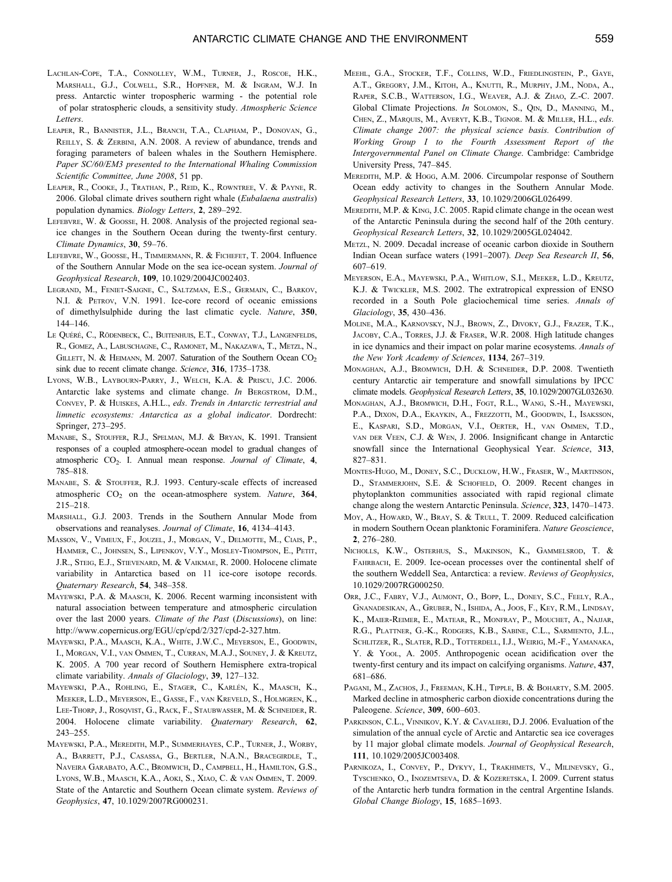- LACHLAN-COPE, T.A., CONNOLLEY, W.M., TURNER, J., ROSCOE, H.K., MARSHALL, G.J., COLWELL, S.R., HOPFNER, M. & INGRAM, W.J. In press. Antarctic winter tropospheric warming - the potential role of polar stratospheric clouds, a sensitivity study. *Atmospheric Science Letters*.
- LEAPER, R., BANNISTER, J.L., BRANCH, T.A., CLAPHAM, P., DONOVAN, G., REILLY, S. & ZERBINI, A.N. 2008. A review of abundance, trends and foraging parameters of baleen whales in the Southern Hemisphere. *Paper SC/60/EM3 presented to the International Whaling Commission Scientific Committee, June 2008*, 51 pp.
- LEAPER, R., COOKE, J., TRATHAN, P., REID, K., ROWNTREE, V. & PAYNE, R. 2006. Global climate drives southern right whale (*Eubalaena australis*) population dynamics. *Biology Letters*, **2**, 289–292.
- LEFEBVRE, W. & GOOSSE, H. 2008. Analysis of the projected regional seaice changes in the Southern Ocean during the twenty-first century. *Climate Dynamics*, **30**, 59–76.
- LEFEBVRE, W., GOOSSE, H., TIMMERMANN, R. & FICHEFET, T. 2004. Influence of the Southern Annular Mode on the sea ice-ocean system. *Journal of Geophysical Research*, **109**, 10.1029/2004JC002403.
- LEGRAND, M., FENIET-SAIGNE, C., SALTZMAN, E.S., GERMAIN, C., BARKOV, N.I. & PETROV, V.N. 1991. Ice-core record of oceanic emissions of dimethylsulphide during the last climatic cycle. *Nature*, **350**, 144–146.
- LE QUÉRÉ, C., RÖDENBECK, C., BUITENHUIS, E.T., CONWAY, T.J., LANGENFELDS, R., GOMEZ, A., LABUSCHAGNE, C., RAMONET, M., NAKAZAWA, T., METZL, N., GILLETT, N. & HEIMANN, M. 2007. Saturation of the Southern Ocean CO<sub>2</sub> sink due to recent climate change. *Science*, **316**, 1735–1738.
- LYONS, W.B., LAYBOURN-PARRY, J., WELCH, K.A. & PRISCU, J.C. 2006. Antarctic lake systems and climate change. *In* BERGSTROM, D.M., CONVEY, P. & HUISKES, A.H.L., *eds*. *Trends in Antarctic terrestrial and limnetic ecosystems: Antarctica as a global indicator*. Dordrecht: Springer, 273–295.
- MANABE, S., STOUFFER, R.J., SPELMAN, M.J. & BRYAN, K. 1991. Transient responses of a coupled atmosphere-ocean model to gradual changes of atmospheric CO2. I. Annual mean response. *Journal of Climate*, **4**, 785–818.
- MANABE, S. & STOUFFER, R.J. 1993. Century-scale effects of increased atmospheric CO<sub>2</sub> on the ocean-atmosphere system. *Nature*, 364, 215–218.
- MARSHALL, G.J. 2003. Trends in the Southern Annular Mode from observations and reanalyses. *Journal of Climate*, **16**, 4134–4143.
- MASSON, V., VIMEUX, F., JOUZEL, J., MORGAN, V., DELMOTTE, M., CIAIS, P., HAMMER, C., JOHNSEN, S., LIPENKOV, V.Y., MOSLEY-THOMPSON, E., PETIT, J.R., STEIG, E.J., STIEVENARD, M. & VAIKMAE, R. 2000. Holocene climate variability in Antarctica based on 11 ice-core isotope records. *Quaternary Research*, **54**, 348–358.
- MAYEWSKI, P.A. & MAASCH, K. 2006. Recent warming inconsistent with natural association between temperature and atmospheric circulation over the last 2000 years. *Climate of the Past* (*Discussions*), on line: http://www.copernicus.org/EGU/cp/cpd/2/327/cpd-2-327.htm.
- MAYEWSKI, P.A., MAASCH, K.A., WHITE, J.W.C., MEYERSON, E., GOODWIN, I., MORGAN, V.I., VAN OMMEN, T., CURRAN, M.A.J., SOUNEY, J. & KREUTZ, K. 2005. A 700 year record of Southern Hemisphere extra-tropical climate variability. *Annals of Glaciology*, **39**, 127–132.
- MAYEWSKI, P.A., ROHLING, E., STAGER, C., KARLÉN, K., MAASCH, K., MEEKER, L.D., MEYERSON, E., GASSE, F., VAN KREVELD, S., HOLMGREN, K., LEE-THORP, J., ROSQVIST, G., RACK, F., STAUBWASSER, M. & SCHNEIDER, R. 2004. Holocene climate variability. *Quaternary Research*, **62**, 243–255.
- MAYEWSKI, P.A., MEREDITH, M.P., SUMMERHAYES, C.P., TURNER, J., WORBY, A., BARRETT, P.J., CASASSA, G., BERTLER, N.A.N., BRACEGIRDLE, T., NAVEIRA GARABATO, A.C., BROMWICH, D., CAMPBELL, H., HAMILTON, G.S., LYONS, W.B., MAASCH, K.A., AOKI, S., XIAO, C. & VAN OMMEN, T. 2009. State of the Antarctic and Southern Ocean climate system. *Reviews of Geophysics*, **47**, 10.1029/2007RG000231.
- MEEHL, G.A., STOCKER, T.F., COLLINS, W.D., FRIEDLINGSTEIN, P., GAYE, A.T., GREGORY, J.M., KITOH, A., KNUTTI, R., MURPHY, J.M., NODA, A., RAPER, S.C.B., WATTERSON, I.G., WEAVER, A.J. & ZHAO, Z.-C. 2007. Global Climate Projections. *In* SOLOMON, S., QIN, D., MANNING, M., CHEN, Z., MARQUIS, M., AVERYT, K.B., TIGNOR. M. & MILLER, H.L., *eds*. *Climate change 2007: the physical science basis. Contribution of Working Group I to the Fourth Assessment Report of the Intergovernmental Panel on Climate Change*. Cambridge: Cambridge University Press, 747–845.
- MEREDITH, M.P. & HOGG, A.M. 2006. Circumpolar response of Southern Ocean eddy activity to changes in the Southern Annular Mode. *Geophysical Research Letters*, **33**, 10.1029/2006GL026499.
- MEREDITH, M.P. & KING, J.C. 2005. Rapid climate change in the ocean west of the Antarctic Peninsula during the second half of the 20th century. *Geophysical Research Letters*, **32**, 10.1029/2005GL024042.
- METZL, N. 2009. Decadal increase of oceanic carbon dioxide in Southern Indian Ocean surface waters (1991–2007). *Deep Sea Research II*, **56**, 607–619.
- MEYERSON, E.A., MAYEWSKI, P.A., WHITLOW, S.I., MEEKER, L.D., KREUTZ, K.J. & TWICKLER, M.S. 2002. The extratropical expression of ENSO recorded in a South Pole glaciochemical time series. *Annals of Glaciology*, **35**, 430–436.
- MOLINE, M.A., KARNOVSKY, N.J., BROWN, Z., DIVOKY, G.J., FRAZER, T.K., JACOBY, C.A., TORRES, J.J. & FRASER, W.R. 2008. High latitude changes in ice dynamics and their impact on polar marine ecosystems. *Annals of the New York Academy of Sciences*, **1134**, 267–319.
- MONAGHAN, A.J., BROMWICH, D.H. & SCHNEIDER, D.P. 2008. Twentieth century Antarctic air temperature and snowfall simulations by IPCC climate models. *Geophysical Research Letters*, **35**, 10.1029/2007GL032630.
- MONAGHAN, A.J., BROMWICH, D.H., FOGT, R.L., WANG, S.-H., MAYEWSKI, P.A., DIXON, D.A., EKAYKIN, A., FREZZOTTI, M., GOODWIN, I., ISAKSSON, E., KASPARI, S.D., MORGAN, V.I., OERTER, H., VAN OMMEN, T.D., VAN DER VEEN, C.J. & WEN, J. 2006. Insignificant change in Antarctic snowfall since the International Geophysical Year. *Science*, **313**, 827–831.
- MONTES-HUGO, M., DONEY, S.C., DUCKLOW, H.W., FRASER, W., MARTINSON, D., STAMMERJOHN, S.E. & SCHOFIELD, O. 2009. Recent changes in phytoplankton communities associated with rapid regional climate change along the western Antarctic Peninsula. *Science*, **323**, 1470–1473.
- MOY, A., HOWARD, W., BRAY, S. & TRULL, T. 2009. Reduced calcification in modern Southern Ocean planktonic Foraminifera. *Nature Geoscience*, **2**, 276–280.
- NICHOLLS, K.W., OSTERHUS, S., MAKINSON, K., GAMMELSROD, T. & FAHRBACH, E. 2009. Ice-ocean processes over the continental shelf of the southern Weddell Sea, Antarctica: a review. *Reviews of Geophysics*, 10.1029/2007RG000250.
- ORR, J.C., FABRY, V.J., AUMONT, O., BOPP, L., DONEY, S.C., FEELY, R.A., GNANADESIKAN, A., GRUBER, N., ISHIDA, A., JOOS, F., KEY, R.M., LINDSAY, K., MAIER-REIMER, E., MATEAR, R., MONFRAY, P., MOUCHET, A., NAJJAR, R.G., PLATTNER, G.-K., RODGERS, K.B., SABINE, C.L., SARMIENTO, J.L., SCHLITZER, R., SLATER, R.D., TOTTERDELL, I.J., WEIRIG, M.-F., YAMANAKA, Y. & YOOL, A. 2005. Anthropogenic ocean acidification over the twenty-first century and its impact on calcifying organisms. *Nature*, **437**, 681–686.
- PAGANI, M., ZACHOS, J., FREEMAN, K.H., TIPPLE, B. & BOHARTY, S.M. 2005. Marked decline in atmospheric carbon dioxide concentrations during the Paleogene. *Science*, **309**, 600–603.
- PARKINSON, C.L., VINNIKOV, K.Y. & CAVALIERI, D.J. 2006. Evaluation of the simulation of the annual cycle of Arctic and Antarctic sea ice coverages by 11 major global climate models. *Journal of Geophysical Research*, **111**, 10.1029/2005JC003408.
- PARNIKOZA, I., CONVEY, P., DYKYY, I., TRAKHIMETS, V., MILINEVSKY, G., TYSCHENKO, O., INOZEMTSEVA, D. & KOZERETSKA, I. 2009. Current status of the Antarctic herb tundra formation in the central Argentine Islands. *Global Change Biology*, **15**, 1685–1693.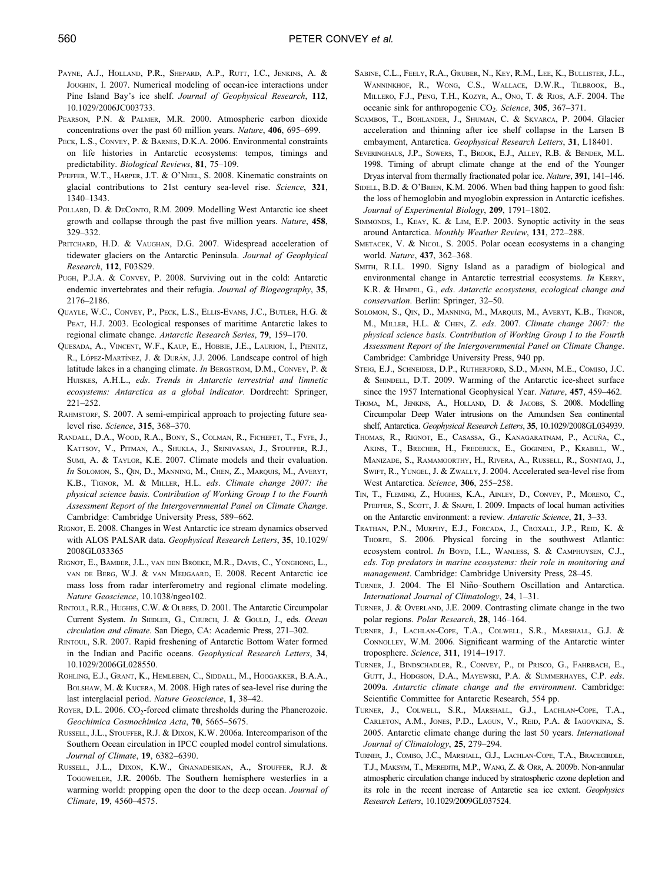- PAYNE, A.J., HOLLAND, P.R., SHEPARD, A.P., RUTT, I.C., JENKINS, A. & JOUGHIN, I. 2007. Numerical modeling of ocean-ice interactions under Pine Island Bay's ice shelf. *Journal of Geophysical Research*, **112**, 10.1029/2006JC003733.
- PEARSON, P.N. & PALMER, M.R. 2000. Atmospheric carbon dioxide concentrations over the past 60 million years. *Nature*, **406**, 695–699.
- PECK, L.S., CONVEY, P. & BARNES, D.K.A. 2006. Environmental constraints on life histories in Antarctic ecosystems: tempos, timings and predictability. *Biological Reviews*, **81**, 75–109.
- PFEFFER, W.T., HARPER, J.T. & O'NEEL, S. 2008. Kinematic constraints on glacial contributions to 21st century sea-level rise. *Science*, **321**, 1340–1343.
- POLLARD, D. & DECONTO, R.M. 2009. Modelling West Antarctic ice sheet growth and collapse through the past five million years. *Nature*, **458**, 329–332.
- PRITCHARD, H.D. & VAUGHAN, D.G. 2007. Widespread acceleration of tidewater glaciers on the Antarctic Peninsula. *Journal of Geophyical Research*, **112**, F03S29.
- PUGH, P.J.A. & CONVEY, P. 2008. Surviving out in the cold: Antarctic endemic invertebrates and their refugia. *Journal of Biogeography*, **35**, 2176–2186.
- QUAYLE, W.C., CONVEY, P., PECK, L.S., ELLIS-EVANS, J.C., BUTLER, H.G. & PEAT, H.J. 2003. Ecological responses of maritime Antarctic lakes to regional climate change. *Antarctic Research Series*, **79**, 159–170.
- QUESADA, A., VINCENT, W.F., KAUP, E., HOBBIE, J.E., LAURION, I., PIENITZ, R., LÓPEZ-MARTÍNEZ, J. & DURÁN, J.J. 2006. Landscape control of high latitude lakes in a changing climate. *In* BERGSTROM, D.M., CONVEY, P. & HUISKES, A.H.L., *eds*. *Trends in Antarctic terrestrial and limnetic ecosystems: Antarctica as a global indicator*. Dordrecht: Springer, 221–252.
- RAHMSTORF, S. 2007. A semi-empirical approach to projecting future sealevel rise. *Science*, **315**, 368–370.
- RANDALL, D.A., WOOD, R.A., BONY, S., COLMAN, R., FICHEFET, T., FYFE, J., KATTSOV, V., PITMAN, A., SHUKLA, J., SRINIVASAN, J., STOUFFER, R.J., SUMI, A. & TAYLOR, K.E. 2007. Climate models and their evaluation. *In* SOLOMON, S., QIN, D., MANNING, M., CHEN, Z., MARQUIS, M., AVERYT, K.B., TIGNOR, M. & MILLER, H.L. *eds*. *Climate change 2007: the physical science basis. Contribution of Working Group I to the Fourth Assessment Report of the Intergovernmental Panel on Climate Change*. Cambridge: Cambridge University Press, 589–662.
- RIGNOT, E. 2008. Changes in West Antarctic ice stream dynamics observed with ALOS PALSAR data. *Geophysical Research Letters*, **35**, 10.1029/ 2008GL033365
- RIGNOT, E., BAMBER, J.L., VAN DEN BROEKE, M.R., DAVIS, C., YONGHONG, L., VAN DE BERG, W.J. & VAN MEIJGAARD, E. 2008. Recent Antarctic ice mass loss from radar interferometry and regional climate modeling. *Nature Geoscience*, 10.1038/ngeo102.
- RINTOUL, R.R., HUGHES, C.W. & OLBERS, D. 2001. The Antarctic Circumpolar Current System. *In* SIEDLER, G., CHURCH, J. & GOULD, J., eds. *Ocean circulation and climate*. San Diego, CA: Academic Press, 271–302.
- RINTOUL, S.R. 2007. Rapid freshening of Antarctic Bottom Water formed in the Indian and Pacific oceans. *Geophysical Research Letters*, **34**, 10.1029/2006GL028550.
- ROHLING, E.J., GRANT, K., HEMLEBEN, C., SIDDALL, M., HOOGAKKER, B.A.A., BOLSHAW, M. & KUCERA, M. 2008. High rates of sea-level rise during the last interglacial period. *Nature Geoscience*, **1**, 38–42.
- ROYER, D.L. 2006.  $CO_2$ -forced climate thresholds during the Phanerozoic. *Geochimica Cosmochimica Acta*, **70**, 5665–5675.
- RUSSELL, J.L., STOUFFER, R.J. & DIXON, K.W. 2006a. Intercomparison of the Southern Ocean circulation in IPCC coupled model control simulations. *Journal of Climate*, **19**, 6382–6390.
- RUSSELL, J.L., DIXON, K.W., GNANADESIKAN, A., STOUFFER, R.J. & TOGGWEILER, J.R. 2006b. The Southern hemisphere westerlies in a warming world: propping open the door to the deep ocean. *Journal of Climate*, **19**, 4560–4575.
- SABINE, C.L., FEELY, R.A., GRUBER, N., KEY, R.M., LEE, K., BULLISTER, J.L., WANNINKHOF, R., WONG, C.S., WALLACE, D.W.R., TILBROOK, B., MILLERO, F.J., PENG, T.H., KOZYR, A., ONO, T. & RIOS, A.F. 2004. The oceanic sink for anthropogenic CO2. *Science*, **305**, 367–371.
- SCAMBOS, T., BOHLANDER, J., SHUMAN, C. & SKVARCA, P. 2004. Glacier acceleration and thinning after ice shelf collapse in the Larsen B embayment, Antarctica. *Geophysical Research Letters*, **31**, L18401.
- SEVERINGHAUS, J.P., SOWERS, T., BROOK, E.J., ALLEY, R.B. & BENDER, M.L. 1998. Timing of abrupt climate change at the end of the Younger Dryas interval from thermally fractionated polar ice. *Nature*, **391**, 141–146.
- SIDELL, B.D. & O'BRIEN, K.M. 2006. When bad thing happen to good fish: the loss of hemoglobin and myoglobin expression in Antarctic icefishes. *Journal of Experimental Biology*, **209**, 1791–1802.
- SIMMONDS, I., KEAY, K. & LIM, E.P. 2003. Synoptic activity in the seas around Antarctica. *Monthly Weather Review*, **131**, 272–288.
- SMETACEK, V. & NICOL, S. 2005. Polar ocean ecosystems in a changing world. *Nature*, **437**, 362–368.
- SMITH, R.I.L. 1990. Signy Island as a paradigm of biological and environmental change in Antarctic terrestrial ecosystems. *In* KERRY, K.R. & HEMPEL, G., *eds*. *Antarctic ecosystems, ecological change and conservation*. Berlin: Springer, 32–50.
- SOLOMON, S., QIN, D., MANNING, M., MARQUIS, M., AVERYT, K.B., TIGNOR, M., MILLER, H.L. & CHEN, Z. *eds*. 2007. *Climate change 2007: the physical science basis. Contribution of Working Group I to the Fourth Assessment Report of the Intergovernmental Panel on Climate Change*. Cambridge: Cambridge University Press, 940 pp.
- STEIG, E.J., SCHNEIDER, D.P., RUTHERFORD, S.D., MANN, M.E., COMISO, J.C. & SHINDELL, D.T. 2009. Warming of the Antarctic ice-sheet surface since the 1957 International Geophysical Year. *Nature*, **457**, 459–462.
- THOMA, M., JENKINS, A., HOLLAND, D. & JACOBS, S. 2008. Modelling Circumpolar Deep Water intrusions on the Amundsen Sea continental shelf, Antarctica. *Geophysical Research Letters*, **35**, 10.1029/2008GL034939.
- THOMAS, R., RIGNOT, E., CASASSA, G., KANAGARATNAM, P., ACUÑA, C., AKINS, T., BRECHER, H., FREDERICK, E., GOGINENI, P., KRABILL, W., MANIZADE, S., RAMAMOORTHY, H., RIVERA, A., RUSSELL, R., SONNTAG, J., SWIFT, R., YUNGEL, J. & ZWALLY, J. 2004. Accelerated sea-level rise from West Antarctica. *Science*, **306**, 255–258.
- TIN, T., FLEMING, Z., HUGHES, K.A., AINLEY, D., CONVEY, P., MORENO, C., PFEIFFER, S., SCOTT, J. & SNAPE, I. 2009. Impacts of local human activities on the Antarctic environment: a review. *Antarctic Science*, **21**, 3–33.
- TRATHAN, P.N., MURPHY, E.J., FORCADA, J., CROXALL, J.P., REID, K. & THORPE, S. 2006. Physical forcing in the southwest Atlantic: ecosystem control. *In* BOYD, I.L., WANLESS, S. & CAMPHUYSEN, C.J., *eds*. *Top predators in marine ecosystems: their role in monitoring and management*. Cambridge: Cambridge University Press, 28–45.
- TURNER, J. 2004. The El Niño-Southern Oscillation and Antarctica. *International Journal of Climatology*, **24**, 1–31.
- TURNER, J. & OVERLAND, J.E. 2009. Contrasting climate change in the two polar regions. *Polar Research*, **28**, 146–164.
- TURNER, J., LACHLAN-COPE, T.A., COLWELL, S.R., MARSHALL, G.J. & CONNOLLEY, W.M. 2006. Significant warming of the Antarctic winter troposphere. *Science*, **311**, 1914–1917.
- TURNER, J., BINDSCHADLER, R., CONVEY, P., DI PRISCO, G., FAHRBACH, E., GUTT, J., HODGSON, D.A., MAYEWSKI, P.A. & SUMMERHAYES, C.P. *eds*. 2009a. *Antarctic climate change and the environment*. Cambridge: Scientific Committee for Antarctic Research, 554 pp.
- TURNER, J., COLWELL, S.R., MARSHALL, G.J., LACHLAN-COPE, T.A., CARLETON, A.M., JONES, P.D., LAGUN, V., REID, P.A. & IAGOVKINA, S. 2005. Antarctic climate change during the last 50 years. *International Journal of Climatology*, **25**, 279–294.
- TURNER, J., COMISO, J.C., MARSHALL, G.J., LACHLAN-COPE, T.A., BRACEGIRDLE, T.J., MAKSYM, T., MEREDITH, M.P., WANG, Z. & ORR, A. 2009b. Non-annular atmospheric circulation change induced by stratospheric ozone depletion and its role in the recent increase of Antarctic sea ice extent. *Geophysics Research Letters*, 10.1029/2009GL037524.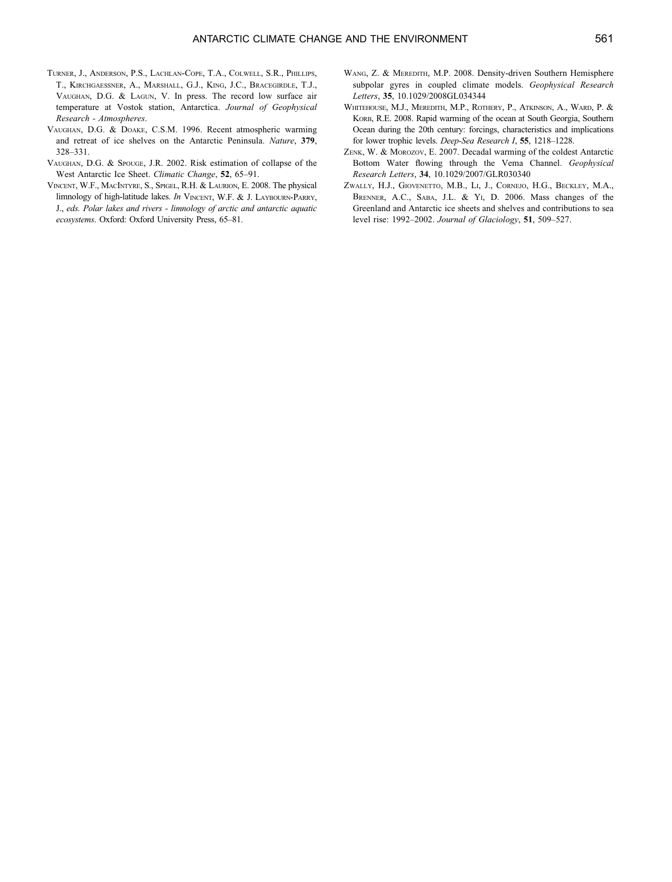- TURNER, J., ANDERSON, P.S., LACHLAN-COPE, T.A., COLWELL, S.R., PHILLIPS, T., KIRCHGAESSNER, A., MARSHALL, G.J., KING, J.C., BRACEGIRDLE, T.J., VAUGHAN, D.G. & LAGUN, V. In press. The record low surface air temperature at Vostok station, Antarctica. *Journal of Geophysical Research - Atmospheres*.
- VAUGHAN, D.G. & DOAKE, C.S.M. 1996. Recent atmospheric warming and retreat of ice shelves on the Antarctic Peninsula. *Nature*, **379**, 328–331.
- VAUGHAN, D.G. & SPOUGE, J.R. 2002. Risk estimation of collapse of the West Antarctic Ice Sheet. *Climatic Change*, **52**, 65–91.
- VINCENT, W.F., MACINTYRE, S., SPIGEL, R.H. & LAURION, E. 2008. The physical limnology of high-latitude lakes. *In* VINCENT, W.F. & J. LAYBOURN-PARRY, J., *eds. Polar lakes and rivers - limnology of arctic and antarctic aquatic ecosystems*. Oxford: Oxford University Press, 65–81.
- WANG, Z. & MEREDITH, M.P. 2008. Density-driven Southern Hemisphere subpolar gyres in coupled climate models. *Geophysical Research Letters*, **35**, 10.1029/2008GL034344
- WHITEHOUSE, M.J., MEREDITH, M.P., ROTHERY, P., ATKINSON, A., WARD, P. & KORB, R.E. 2008. Rapid warming of the ocean at South Georgia, Southern Ocean during the 20th century: forcings, characteristics and implications for lower trophic levels. *Deep-Sea Research I*, **55**, 1218–1228.
- ZENK, W. & MOROZOV, E. 2007. Decadal warming of the coldest Antarctic Bottom Water flowing through the Vema Channel. *Geophysical Research Letters*, **34**, 10.1029/2007/GLR030340
- ZWALLY, H.J., GIOVENETTO, M.B., LI, J., CORNEJO, H.G., BECKLEY, M.A., BRENNER, A.C., SABA, J.L. & YI, D. 2006. Mass changes of the Greenland and Antarctic ice sheets and shelves and contributions to sea level rise: 1992–2002. *Journal of Glaciology*, **51**, 509–527.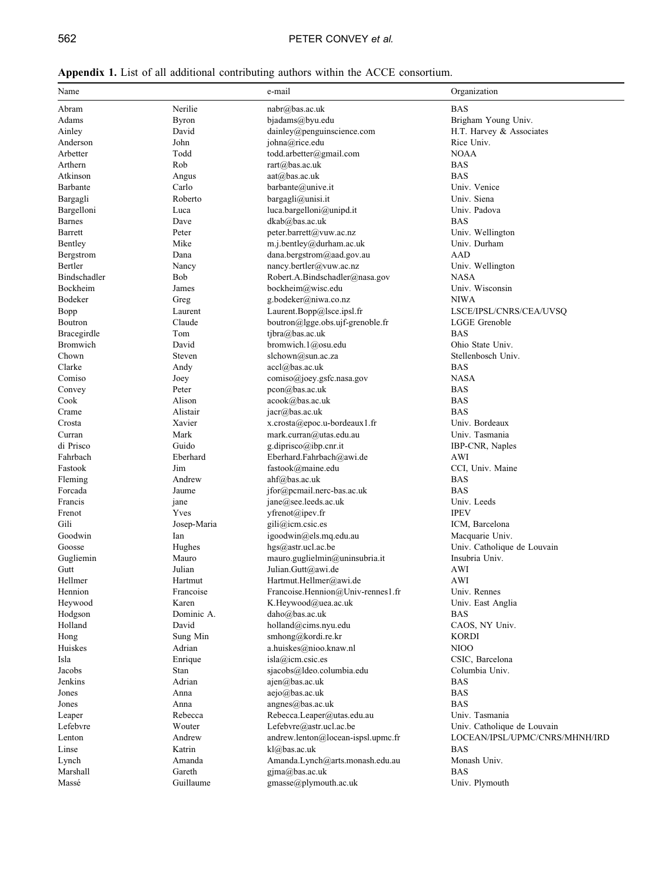**Appendix 1.** List of all additional contributing authors within the ACCE consortium.

| Name                   |                 | e-mail                                              | Organization                      |
|------------------------|-----------------|-----------------------------------------------------|-----------------------------------|
| Abram                  | Nerilie         | $nabr(a)$ bas.ac.uk                                 | <b>BAS</b>                        |
| Adams                  | <b>Byron</b>    | bjadams@byu.edu                                     | Brigham Young Univ.               |
| Ainley                 | David           | dainley@penguinscience.com                          | H.T. Harvey & Associates          |
| Anderson               | John            | johna@rice.edu                                      | Rice Univ.                        |
| Arbetter               | Todd            | todd.arbetter@gmail.com                             | <b>NOAA</b>                       |
| Arthern                | Rob             | $rart(a)$ bas.ac.uk                                 | <b>BAS</b>                        |
| Atkinson               | Angus           | $aat(a)$ bas.ac.uk                                  | <b>BAS</b>                        |
| Barbante               | Carlo           | barbante@unive.it                                   | Univ. Venice                      |
| Bargagli               | Roberto         | bargagli@unisi.it                                   | Univ. Siena                       |
| Bargelloni             | Luca            | luca.bargelloni@unipd.it                            | Univ. Padova                      |
| Barnes                 | Dave            | dkab@bas.ac.uk                                      | <b>BAS</b>                        |
| Barrett                | Peter           | peter.barrett@vuw.ac.nz                             | Univ. Wellington                  |
| Bentley                | Mike            | m.j.bentley@durham.ac.uk                            | Univ. Durham                      |
| Bergstrom              | Dana            | dana.bergstrom@aad.gov.au                           | AAD                               |
| Bertler                | Nancy           | nancy.bertler@vuw.ac.nz                             | Univ. Wellington                  |
| Bindschadler           | Bob             | Robert.A.Bindschadler@nasa.gov                      | <b>NASA</b>                       |
| Bockheim               | James           | bockheim@wisc.edu                                   | Univ. Wisconsin                   |
| Bodeker                | Greg            | g.bodeker@niwa.co.nz                                | NIWA                              |
| Bopp                   | Laurent         | Laurent.Bopp@lsce.ipsl.fr                           | LSCE/IPSL/CNRS/CEA/UVSQ           |
| Boutron<br>Bracegirdle | Claude<br>Tom   | boutron@lgge.obs.ujf-grenoble.fr<br>tjbra@bas.ac.uk | LGGE Grenoble<br><b>BAS</b>       |
| Bromwich               | David           | bromwich. $1$ @osu.edu                              | Ohio State Univ.                  |
| Chown                  | Steven          | slchown@sun.ac.za                                   | Stellenbosch Univ.                |
| Clarke                 | Andy            | $\operatorname{accl}(\widehat{\omega})$ bas.ac.uk   | <b>BAS</b>                        |
| Comiso                 | Joey            | comiso@joey.gsfc.nasa.gov                           | <b>NASA</b>                       |
| Convey                 | Peter           | pcon@bas.ac.uk                                      | <b>BAS</b>                        |
| Cook                   | Alison          | acook@bas.ac.uk                                     | <b>BAS</b>                        |
| Crame                  | Alistair        | $\arccos($ abas.ac.uk                               | <b>BAS</b>                        |
| Crosta                 | Xavier          | x.crosta@epoc.u-bordeaux1.fr                        | Univ. Bordeaux                    |
| Curran                 | Mark            | mark.curran@utas.edu.au                             | Univ. Tasmania                    |
| di Prisco              | Guido           | g.diprisco@ibp.cnr.it                               | IBP-CNR, Naples                   |
| Fahrbach               | Eberhard        | Eberhard.Fahrbach@awi.de                            | AWI                               |
| Fastook                | Jim             | fastook@maine.edu                                   | CCI, Univ. Maine                  |
| Fleming                | Andrew          | $a$ hf $(a)$ bas.ac.uk                              | <b>BAS</b>                        |
| Forcada                | Jaume           | jfor@pcmail.nerc-bas.ac.uk                          | <b>BAS</b>                        |
| Francis                | jane            | jane@see.leeds.ac.uk                                | Univ. Leeds                       |
| Frenot                 | Yves            | yfrenot@ipev.fr                                     | <b>IPEV</b>                       |
| Gili                   | Josep-Maria     | gili@icm.csic.es                                    | ICM, Barcelona                    |
| Goodwin                | Ian             | igoodwin@els.mq.edu.au                              | Macquarie Univ.                   |
| Goosse                 | Hughes          | hgs@astr.ucl.ac.be                                  | Univ. Catholique de Louvain       |
| Gugliemin              | Mauro           | mauro.guglielmin@uninsubria.it                      | Insubria Univ.                    |
| Gutt                   | Julian          | Julian.Gutt@awi.de                                  | AWI                               |
| Hellmer                | Hartmut         | Hartmut.Hellmer@awi.de                              | AWI                               |
| Hennion                | Francoise       | Francoise.Hennion@Univ-rennes1.fr                   | Univ. Rennes                      |
| Heywood                | Karen           | K.Heywood@uea.ac.uk                                 | Univ. East Anglia                 |
| Hodgson                | Dominic A.      | daho@bas.ac.uk                                      | <b>BAS</b>                        |
| Holland                | David           | holland@cims.nyu.edu                                | CAOS, NY Univ.                    |
| Hong                   | Sung Min        | smhong@kordi.re.kr                                  | <b>KORDI</b>                      |
| Huiskes                | Adrian          | a.huiskes@nioo.knaw.nl                              | NIOO                              |
| Isla<br>Jacobs         | Enrique<br>Stan | isla@icm.csic.es                                    | CSIC, Barcelona<br>Columbia Univ. |
| Jenkins                | Adrian          | sjacobs@ldeo.columbia.edu<br>ajen@bas.ac.uk         | <b>BAS</b>                        |
| Jones                  | Anna            | aejo@bas.ac.uk                                      | <b>BAS</b>                        |
| Jones                  | Anna            | angnes@bas.ac.uk                                    | <b>BAS</b>                        |
| Leaper                 | Rebecca         | Rebecca.Leaper@utas.edu.au                          | Univ. Tasmania                    |
| Lefebvre               | Wouter          | Lefebvre@astr.ucl.ac.be                             | Univ. Catholique de Louvain       |
| Lenton                 | Andrew          | andrew.lenton@locean-ispsl.upmc.fr                  | LOCEAN/IPSL/UPMC/CNRS/MHNH/IRD    |
| Linse                  | Katrin          | kl@bas.ac.uk                                        | <b>BAS</b>                        |
| Lynch                  | Amanda          | Amanda.Lynch@arts.monash.edu.au                     | Monash Univ.                      |
| Marshall               | Gareth          | gjma@bas.ac.uk                                      | <b>BAS</b>                        |
| Massé                  | Guillaume       | gmasse@plymouth.ac.uk                               | Univ. Plymouth                    |
|                        |                 |                                                     |                                   |